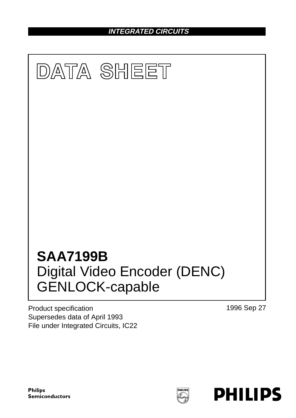**INTEGRATED CIRCUITS**



Product specification Supersedes data of April 1993 File under Integrated Circuits, IC22 1996 Sep 27

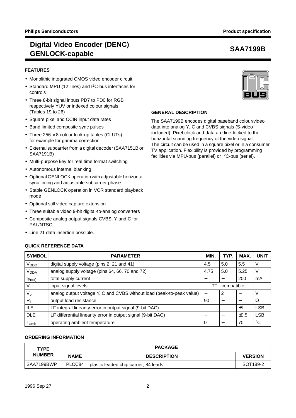## **FEATURES**

- Monolithic integrated CMOS video encoder circuit
- Standard MPU (12 lines) and I2C-bus interfaces for controls
- Three 8-bit signal inputs PD7 to PD0 for RGB respectively YUV or indexed colour signals (Tables 19 to 26)
- Square pixel and CCIR input data rates
- Band limited composite sync pulses
- Three  $256 \times 8$  colour look-up tables (CLUTs) for example for gamma correction
- External subcarrier from a digital decoder (SAA7151B or SAA7191B)
- Multi-purpose key for real time format switching
- Autonomous internal blanking
- Optional GENLOCK operation with adjustable horizontal sync timing and adjustable subcarrier phase
- Stable GENLOCK operation in VCR standard playback mode
- Optional still video capture extension
- Three suitable video 9-bit digital-to-analog converters
- Composite analog output signals CVBS, Y and C for PAL/NTSC
- Line 21 data insertion possible.

## **QUICK REFERENCE DATA**

### **GENERAL DESCRIPTION**

The SAA7199B encodes digital baseband colour/video data into analog Y, C and CVBS signals (S-video included). Pixel clock and data are line-locked to the horizontal scanning frequency of the video signal. The circuit can be used in a square pixel or in a consumer TV application. Flexibility is provided by programming facilities via MPU-bus (parallel) or I<sup>2</sup>C-bus (serial).

| <b>SYMBOL</b>               | <b>PARAMETER</b>                                                      |      | TYP. | MAX.                     | <b>UNIT</b> |
|-----------------------------|-----------------------------------------------------------------------|------|------|--------------------------|-------------|
| <b>V</b> <sub>DDD</sub>     | digital supply voltage (pins 2, 21 and 41)                            | 4.5  | 5.0  | 5.5                      | V           |
| <b>V<sub>DDA</sub></b>      | analog supply voltage (pins 64, 66, 70 and 72)                        | 4.75 | 5.0  | 5.25                     | ν           |
| $I_{P(tot)}$                | total supply current                                                  |      |      | 200                      | mA          |
| V,                          | input signal levels<br>TTL-compatible                                 |      |      |                          |             |
| $V_{o}$                     | analog output voltage Y, C and CVBS without load (peak-to-peak value) |      | 2    |                          | V           |
| $R_L$                       | output load resistance                                                |      |      | $\overline{\phantom{m}}$ | Ω           |
| <b>ILE</b>                  | LF integral linearity error in output signal (9-bit DAC)              |      |      | ±1                       | <b>LSB</b>  |
| <b>DLE</b>                  | LF differential linearity error in output signal (9-bit DAC)          |      |      | $\pm 0.5$                | <b>LSB</b>  |
| $\mathsf{T}_{\mathsf{amb}}$ | operating ambient temperature                                         |      |      | 70                       | °C          |

### **ORDERING INFORMATION**

| <b>TYPE</b>   |             | <b>PACKAGE</b>                        |                |  |
|---------------|-------------|---------------------------------------|----------------|--|
| <b>NUMBER</b> | <b>NAME</b> | <b>DESCRIPTION</b>                    | <b>VERSION</b> |  |
| SAA7199BWP    | PLCC84      | plastic leaded chip carrier; 84 leads | SOT189-2       |  |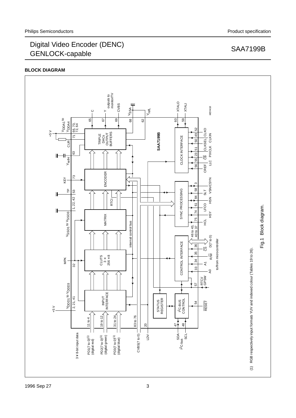## **BLOCK DIAGRAM**

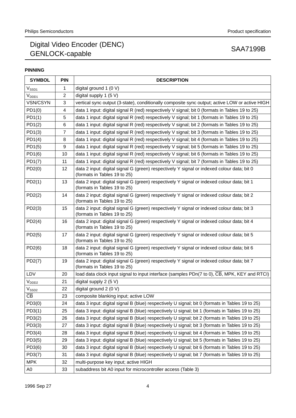# **PINNING**

| <b>SYMBOL</b>          | <b>PIN</b>     | <b>DESCRIPTION</b>                                                                                                         |
|------------------------|----------------|----------------------------------------------------------------------------------------------------------------------------|
| $V_{SSD1}$             | 1              | digital ground 1 $(0 V)$                                                                                                   |
| $V_{DDD1}$             | $\overline{c}$ | digital supply 1 $(5 V)$                                                                                                   |
| VSN/CSYN               | 3              | vertical sync output (3-state), conditionally composite sync output; active LOW or active HIGH                             |
| PD1(0)                 | 4              | data 1 input: digital signal R (red) respectively V signal; bit 0 (formats in Tables 19 to 25)                             |
| PD1(1)                 | 5              | data 1 input: digital signal R (red) respectively V signal; bit 1 (formats in Tables 19 to 25)                             |
| PD1(2)                 | 6              | data 1 input: digital signal R (red) respectively V signal; bit 2 (formats in Tables 19 to 25)                             |
| PD1(3)                 | $\overline{7}$ | data 1 input: digital signal R (red) respectively V signal; bit 3 (formats in Tables 19 to 25)                             |
| PD1(4)                 | 8              | data 1 input: digital signal R (red) respectively V signal; bit 4 (formats in Tables 19 to 25)                             |
| PD1(5)                 | 9              | data 1 input: digital signal R (red) respectively V signal; bit 5 (formats in Tables 19 to 25)                             |
| PD1(6)                 | 10             | data 1 input: digital signal R (red) respectively V signal; bit 6 (formats in Tables 19 to 25)                             |
| PD1(7)                 | 11             | data 1 input: digital signal R (red) respectively V signal; bit 7 (formats in Tables 19 to 25)                             |
| PD2(0)                 | 12             | data 2 input: digital signal G (green) respectively Y signal or indexed colour data; bit 0<br>(formats in Tables 19 to 25) |
| PD2(1)                 | 13             | data 2 input: digital signal G (green) respectively Y signal or indexed colour data; bit 1<br>(formats in Tables 19 to 25) |
| PD2(2)                 | 14             | data 2 input: digital signal G (green) respectively Y signal or indexed colour data; bit 2<br>(formats in Tables 19 to 25) |
| PD2(3)                 | 15             | data 2 input: digital signal G (green) respectively Y signal or indexed colour data; bit 3<br>(formats in Tables 19 to 25) |
| PD2(4)                 | 16             | data 2 input: digital signal G (green) respectively Y signal or indexed colour data; bit 4<br>(formats in Tables 19 to 25) |
| PD2(5)                 | 17             | data 2 input: digital signal G (green) respectively Y signal or indexed colour data; bit 5<br>(formats in Tables 19 to 25) |
| PD2(6)                 | 18             | data 2 input: digital signal G (green) respectively Y signal or indexed colour data; bit 6<br>(formats in Tables 19 to 25) |
| PD2(7)                 | 19             | data 2 input: digital signal G (green) respectively Y signal or indexed colour data; bit 7<br>(formats in Tables 19 to 25) |
| LDV                    | 20             | load data clock input signal to input interface (samples PDn(7 to 0), CB, MPK, KEY and RTCI)                               |
| $V_{DDD2}$             | 21             | digital supply 2 (5 V)                                                                                                     |
| $V_{SSD2}$             | 22             | digital ground 2 (0 V)                                                                                                     |
| $\overline{\text{CB}}$ | 23             | composite blanking input; active LOW                                                                                       |
| PD3(0)                 | 24             | data 3 input: digital signal B (blue) respectively U signal; bit 0 (formats in Tables 19 to 25)                            |
| PD3(1)                 | 25             | data 3 input: digital signal B (blue) respectively U signal; bit 1 (formats in Tables 19 to 25)                            |
| PD3(2)                 | 26             | data 3 input: digital signal B (blue) respectively U signal; bit 2 (formats in Tables 19 to 25)                            |
| PD3(3)                 | 27             | data 3 input: digital signal B (blue) respectively U signal; bit 3 (formats in Tables 19 to 25)                            |
| PD3(4)                 | 28             | data 3 input: digital signal B (blue) respectively U signal; bit 4 (formats in Tables 19 to 25)                            |
| PD3(5)                 | 29             | data 3 input: digital signal B (blue) respectively U signal; bit 5 (formats in Tables 19 to 25)                            |
| PD3(6)                 | 30             | data 3 input: digital signal B (blue) respectively U signal; bit 6 (formats in Tables 19 to 25)                            |
| PD3(7)                 | 31             | data 3 input: digital signal B (blue) respectively U signal; bit 7 (formats in Tables 19 to 25)                            |
| <b>MPK</b>             | 32             | multi-purpose key input; active HIGH                                                                                       |
| A <sub>0</sub>         | 33             | subaddress bit A0 input for microcontroller access (Table 3)                                                               |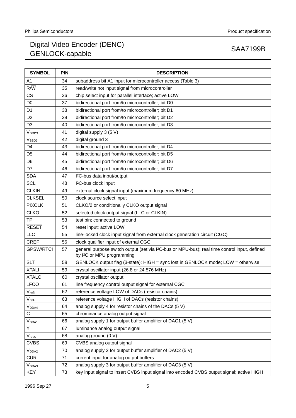| <b>SYMBOL</b>                | <b>PIN</b> | <b>DESCRIPTION</b>                                                                                                                                  |
|------------------------------|------------|-----------------------------------------------------------------------------------------------------------------------------------------------------|
| A1                           | 34         | subaddress bit A1 input for microcontroller access (Table 3)                                                                                        |
| $R/\overline{W}$             | 35         | read/write not input signal from microcontroller                                                                                                    |
| $\overline{\text{CS}}$       | 36         | chip select input for parallel interface; active LOW                                                                                                |
| D <sub>0</sub>               | 37         | bidirectional port from/to microcontroller; bit D0                                                                                                  |
| D <sub>1</sub>               | 38         | bidirectional port from/to microcontroller; bit D1                                                                                                  |
| D <sub>2</sub>               | 39         | bidirectional port from/to microcontroller; bit D2                                                                                                  |
| D <sub>3</sub>               | 40         | bidirectional port from/to microcontroller; bit D3                                                                                                  |
| V <sub>DDD3</sub>            | 41         | digital supply 3 (5 V)                                                                                                                              |
| V <sub>SSD3</sub>            | 42         | digital ground 3                                                                                                                                    |
| D4                           | 43         | bidirectional port from/to microcontroller; bit D4                                                                                                  |
| D <sub>5</sub>               | 44         | bidirectional port from/to microcontroller; bit D5                                                                                                  |
| D <sub>6</sub>               | 45         | bidirectional port from/to microcontroller; bit D6                                                                                                  |
| D7                           | 46         | bidirectional port from/to microcontroller; bit D7                                                                                                  |
| <b>SDA</b>                   | 47         | l <sup>2</sup> C-bus data input/output                                                                                                              |
| <b>SCL</b>                   | 48         | I <sup>2</sup> C-bus clock input                                                                                                                    |
| <b>CLKIN</b>                 | 49         | external clock signal input (maximum frequency 60 MHz)                                                                                              |
| <b>CLKSEL</b>                | 50         | clock source select input                                                                                                                           |
| <b>PIXCLK</b>                | 51         | CLKO/2 or conditionally CLKO output signal                                                                                                          |
| <b>CLKO</b>                  | 52         | selected clock output signal (LLC or CLKIN)                                                                                                         |
| <b>TP</b>                    | 53         | test pin; connected to ground                                                                                                                       |
| <b>RESET</b>                 | 54         | reset input; active LOW                                                                                                                             |
| LLC                          | 55         | line-locked clock input signal from external clock generation circuit (CGC)                                                                         |
| <b>CREF</b>                  | 56         | clock qualifier input of external CGC                                                                                                               |
| <b>GPSW/RTCI</b>             | 57         | general purpose switch output (set via I <sup>2</sup> C-bus or MPU-bus); real time control input, defined<br>by I <sup>2</sup> C or MPU programming |
| <b>SLT</b>                   | 58         | GENLOCK output flag (3-state): HIGH = sync lost in GENLOCK mode; LOW = otherwise                                                                    |
| <b>XTALI</b>                 | 59         | crystal oscillator input (26.8 or 24.576 MHz)                                                                                                       |
| <b>XTALO</b>                 | 60         | crystal oscillator output                                                                                                                           |
| <b>LFCO</b>                  | 61         | line frequency control output signal for external CGC                                                                                               |
| $V_{\text{refL}}$            | 62         | reference voltage LOW of DACs (resistor chains)                                                                                                     |
| $\mathsf{V}_{\mathsf{refH}}$ | 63         | reference voltage HIGH of DACs (resistor chains)                                                                                                    |
| $V_{DDA4}$                   | 64         | analog supply 4 for resistor chains of the DACs (5 V)                                                                                               |
| С                            | 65         | chrominance analog output signal                                                                                                                    |
| V <sub>DDA1</sub>            | 66         | analog supply 1 for output buffer amplifier of DAC1 (5 V)                                                                                           |
| Υ                            | 67         | luminance analog output signal                                                                                                                      |
| $V_{SSA}$                    | 68         | analog ground (0 V)                                                                                                                                 |
| <b>CVBS</b>                  | 69         | CVBS analog output signal                                                                                                                           |
| $V_{DDA2}$                   | 70         | analog supply 2 for output buffer amplifier of DAC2 (5 V)                                                                                           |
| <b>CUR</b>                   | 71         | current input for analog output buffers                                                                                                             |
| $V_{DDA3}$                   | 72         | analog supply 3 for output buffer amplifier of DAC3 (5 V)                                                                                           |
| <b>KEY</b>                   | 73         | key input signal to insert CVBS input signal into encoded CVBS output signal; active HIGH                                                           |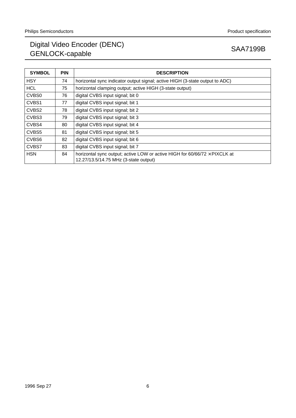| <b>SYMBOL</b>     | <b>PIN</b> | <b>DESCRIPTION</b>                                                                                                         |
|-------------------|------------|----------------------------------------------------------------------------------------------------------------------------|
| <b>HSY</b>        | 74         | horizontal sync indicator output signal; active HIGH (3-state output to ADC)                                               |
| <b>HCL</b>        | 75         | horizontal clamping output; active HIGH (3-state output)                                                                   |
| CVB <sub>S0</sub> | 76         | digital CVBS input signal; bit 0                                                                                           |
| CVBS1             | 77         | digital CVBS input signal; bit 1                                                                                           |
| CVBS2             | 78         | digital CVBS input signal; bit 2                                                                                           |
| CVBS3             | 79         | digital CVBS input signal; bit 3                                                                                           |
| CVBS4             | 80         | digital CVBS input signal; bit 4                                                                                           |
| CVBS5             | 81         | digital CVBS input signal; bit 5                                                                                           |
| CVBS6             | 82         | digital CVBS input signal; bit 6                                                                                           |
| CVBS7             | 83         | digital CVBS input signal; bit 7                                                                                           |
| <b>HSN</b>        | 84         | horizontal sync output; active LOW or active HIGH for $60/66/72 \times$ PIXCLK at<br>12.27/13.5/14.75 MHz (3-state output) |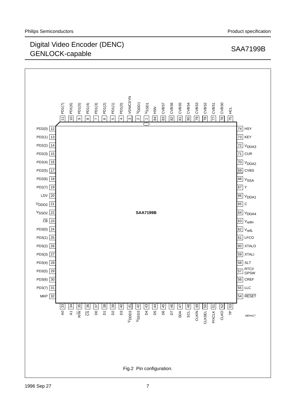

1996 Sep 27 7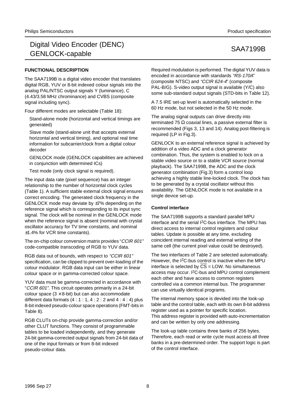## **FUNCTIONAL DESCRIPTION**

The SAA7199B is a digital video encoder that translates digital RGB, YUV or 8-bit indexed colour signals into the analog PAL/NTSC output signals Y (luminance), C (4.43/3.58 MHz chrominance) and CVBS (composite signal including sync).

Four different modes are selectable (Table 18):

Stand-alone mode (horizontal and vertical timings are generated)

Slave mode (stand-alone unit that accepts external horizontal and vertical timing), and optional real time information for subcarrier/clock from a digital colour decoder

GENLOCK mode (GENLOCK capabilities are achieved in conjunction with determined ICs)

Test mode (only clock signal is required).

The input data rate (pixel sequence) has an integer relationship to the number of horizontal clock cycles (Table 1). A sufficient stable external clock signal ensures correct encoding. The generated clock frequency in the GENLOCK mode may deviate by ±7% depending on the reference signal which is corresponding to its input sync signal. The clock will be nominal in the GENLOCK mode when the reference signal is absent (nominal with crystal oscillator accuracy for TV time constants, and nominal ±1.4% for VCR time constants).

The on-chip colour conversion matrix provides "CCIR 601" code-compatible transcoding of RGB to YUV data.

RGB data out of bounds, with respect to "CCIR 601" specification, can be clipped to prevent over-loading of the colour modulator. RGB data input can be either in linear colour space or in gamma-corrected colour space.

YUV data must be gamma-corrected in accordance with "CCIR 601". This circuit operates primarily in a 24-bit colour space  $(3 \times 8$ -bit) but can also accommodate different data formats  $(4:1:1, 4:2:2$  and  $4:4:4$ ) plus 8-bit indexed pseudo-colour space operations (FMT-bits in Table 8).

RGB CLUTs on-chip provide gamma-correction and/or other CLUT functions. They consist of programmable tables to be loaded independently, and they generate 24-bit gamma-corrected output signals from 24-bit data of one of the input formats or from 8-bit indexed pseudo-colour data.

Required modulation is performed. The digital YUV data is encoded in accordance with standards "RS-170A" (composite NTSC) and "CCIR 624-4" (composite PAL-B/G). S-video output signal is available (Y/C) also some sub-standard output signals (STD-bits in Table 12).

A 7.5 IRE set-up level is automatically selected in the 60 Hz mode, but not selected in the 50 Hz mode.

The analog signal outputs can drive directly into terminated 75  $Ω$  coaxial lines, a passive external filter is recommended (Figs 3, 13 and 14). Analog post-filtering is required (LP in Fig.3).

GENLOCK to an external reference signal is achieved by addition of a video ADC and a clock generator combination. Thus, the system is enabled to lock on a stable video source or to a stable VCR source (normal playback). The SAA7199B, the ADC and the clock generator combination (Fig.3) form a control loop achieving a highly stable line-locked clock. The clock has to be generated by a crystal oscillator without this availability. The GENLOCK mode is not available in a single device set-up.

## **Control interface**

The SAA7199B supports a standard parallel MPU interface and the serial I2C-bus interface. The MPU has direct access to internal control registers and colour tables. Update is possible at any time, excluding coincident internal reading and external writing of the same cell (the current pixel value could be destroyed).

The two interfaces of Table 2 are selected automatically. However, the I2C-bus control is inactive when the MPU interface is selected by  $\overline{CS}$  = LOW. No simultaneous access may occur. I<sup>2</sup>C-bus and MPU control complement each other and have access to common registers controlled via a common internal bus. The programmer can use virtually identical programs.

The internal memory space is devided into the look-up table and the control table, each with its own 8-bit address register used as a pointer for specific location. This address register is provided with auto-incrementation and can be written by only one addressing.

The look-up table contains three banks of 256 bytes. Therefore, each read or write cycle must access all three banks in a pre-determined order. The support logic is part of the control interface.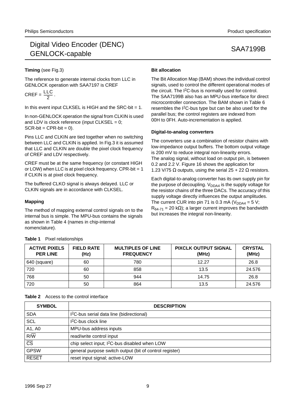## **Timing** (see Fig.3)

The reference to generate internal clocks from LLC in GENLOCK operation with SAA7197 is CREF

$$
CREF = \frac{LLC}{2}.
$$

In this event input CLKSEL is HIGH and the SRC-bit  $= 1$ .

In non-GENLOCK operation the signal from CLKIN is used and LDV is clock reference (input CLKSEL =  $0$ ;  $SCR-bit = CPR-bit = 0$ .

Pins LLC and CLKIN are tied together when no switching between LLC and CLKIN is applied. In Fig.3 it is assumed that LLC and CLKIN are double the pixel clock frequency of CREF and LDV respectively.

CREF must be at the same frequency (or constant HIGH or LOW) when LLC is at pixel clock frequency. CPR-bit = 1 if CLKIN is at pixel clock frequency.

The buffered CLKO signal is always delayed. LLC or CLKIN signals are in accordance with CLKSEL.

## **Mapping**

The method of mapping external control signals on to the internal bus is simple. The MPU-bus contains the signals as shown in Table 4 (names in chip-internal nomenclature).

## **Bit allocation**

The Bit Allocation Map (BAM) shows the individual control signals, used to control the different operational modes of the circuit. The I2C-bus is normally used for control. The SAA7199B also has an MPU-bus interface for direct microcontroller connection. The BAM shown in Table 6 resembles the I2C-bus type but can be also used for the parallel bus; the control registers are indexed from 00H to 0FH. Auto-incrementation is applied.

## **Digital-to-analog converters**

The converters use a combination of resistor chains with low-impedance output buffers. The bottom output voltage is 200 mV to reduce integral non-linearity errors. The analog signal, without load on output pin, is between 0.2 and 2.2 V. Figure 16 shows the application for 1.23 V/75 Ω outputs, using the serial  $25 + 22$  Ω resistors.

Each digital-to-analog converter has its own supply pin for the purpose of decoupling.  $V_{DDAA}$  is the supply voltage for the resistor chains of the three DACs. The accuracy of this supply voltage directly influences the output amplitudes. The current CUR into pin 71 is 0.3 mA ( $V_{DDAA} = 5 V$ ;  $R_{64-71}$  = 20 kΩ); a larger current improves the bandwidth but increases the integral non-linearity.

| <b>ACTIVE PIXELS</b><br><b>PER LINE</b> | <b>FIELD RATE</b><br>(Hz) | <b>MULTIPLES OF LINE</b><br><b>FREQUENCY</b> | <b>PIXCLK OUTPUT SIGNAL</b><br>(MHz) | <b>CRYSTAL</b><br>(MHz) |
|-----------------------------------------|---------------------------|----------------------------------------------|--------------------------------------|-------------------------|
| 640 (square)                            | 60                        | 780                                          | 12.27                                | 26.8                    |
| 720                                     | 60                        | 858                                          | 13.5                                 | 24.576                  |
| 768                                     | 50                        | 944                                          | 14.75                                | 26.8                    |
| 720                                     | 50                        | 864                                          | 13.5                                 | 24.576                  |

**Table 1** Pixel relationships

| <b>SYMBOL</b>                     | <b>DESCRIPTION</b>                                        |
|-----------------------------------|-----------------------------------------------------------|
| <b>SDA</b>                        | I <sup>2</sup> C-bus serial data line (bidirectional)     |
| <b>SCL</b>                        | 1 <sup>2</sup> C-bus clock line                           |
| A1, A0                            | MPU-bus address inputs                                    |
| $R/\overline{W}$                  | read/write control input                                  |
| $\overline{\overline{\text{cs}}}$ | chip select input; I <sup>2</sup> C-bus disabled when LOW |
| <b>GPSW</b>                       | general purpose switch output (bit of control register)   |
| <b>RESET</b>                      | reset input signal; active-LOW                            |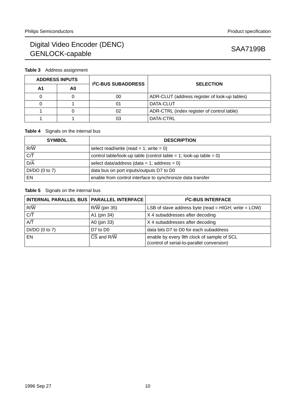# **Table 3** Address assignment

| <b>ADDRESS INPUTS</b> |                | <b>I<sup>2</sup>C-BUS SUBADDRESS</b> | <b>SELECTION</b>                              |  |
|-----------------------|----------------|--------------------------------------|-----------------------------------------------|--|
| Α1                    | A <sub>0</sub> |                                      |                                               |  |
|                       |                | 00                                   | ADR-CLUT (address register of look-up tables) |  |
|                       |                | 01                                   | DATA-CLUT                                     |  |
|                       |                | 02                                   | ADR-CTRL (index register of control table)    |  |
|                       |                | 03                                   | DATA-CTRL                                     |  |

## **Table 4** Signals on the internal bus

| <b>SYMBOL</b>               | <b>DESCRIPTION</b>                                                 |  |
|-----------------------------|--------------------------------------------------------------------|--|
| $R/\overline{W}$            | select read/write (read = 1; write = 0)                            |  |
| $\overline{C/\overline{T}}$ | control table/look-up table (control table = 1; look-up table = 0) |  |
| $D/\overline{A}$            | select data/address (data = 1; address = 0)                        |  |
| $DI/DO$ (0 to 7)            | data bus on port inputs/outputs D7 to D0                           |  |
| EN                          | enable from control interface to synchronize data transfer         |  |

## **Table 5** Signals on the internal bus

| INTERNAL PARALLEL BUS   PARALLEL INTERFACE |              | <b>I<sup>2</sup>C-BUS INTERFACE</b>                                                      |
|--------------------------------------------|--------------|------------------------------------------------------------------------------------------|
| $R/\overline{W}$                           | R/W (pin 35) | LSB of slave address byte (read = HIGH; write = $LOW$ )                                  |
| $\overline{C}/\overline{T}$                | A1 (pin 34)  | X 4 subaddresses after decoding                                                          |
| $\overline{AT}$                            | A0 (pin 33)  | X 4 subaddresses after decoding                                                          |
| $DI/DO$ (0 to 7)                           | D7 to D0     | data bits D7 to D0 for each subaddress                                                   |
| EN                                         | CS and R/W   | enable by every 9th clock of sample of SCL<br>(control of serial-to-parallel conversion) |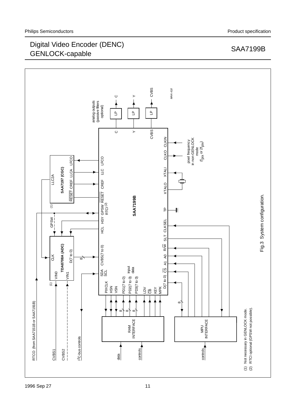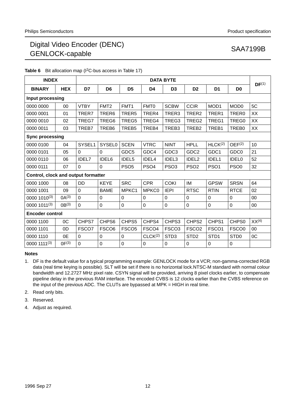| <b>Table 6</b> BIL allocation map $(F-C-DUS$ access in Table $(T)$ |            |              |                   |                   |                     |                   |                   |                     |                    |                   |
|--------------------------------------------------------------------|------------|--------------|-------------------|-------------------|---------------------|-------------------|-------------------|---------------------|--------------------|-------------------|
| <b>INDEX</b>                                                       |            |              |                   |                   |                     | <b>DATA BYTE</b>  |                   |                     |                    | DF <sup>(1)</sup> |
| <b>BINARY</b>                                                      | <b>HEX</b> | D7           | D <sub>6</sub>    | D <sub>5</sub>    | D4                  | D <sub>3</sub>    | D <sub>2</sub>    | D <sub>1</sub>      | D <sub>0</sub>     |                   |
| Input processing                                                   |            |              |                   |                   |                     |                   |                   |                     |                    |                   |
| 0000 0000                                                          | 00         | <b>VTBY</b>  | FMT <sub>2</sub>  | FMT <sub>1</sub>  | FMT <sub>0</sub>    | <b>SCBW</b>       | <b>CCIR</b>       | MOD <sub>1</sub>    | MOD <sub>0</sub>   | 5C                |
| 0000 0001                                                          | 01         | TRER7        | TRER6             | TRER <sub>5</sub> | TRER4               | TRER3             | TRER2             | TRER1               | TRER0              | XX                |
| 0000 0010                                                          | 02         | TREG7        | TREG6             | TREG5             | TREG4               | TREG3             | TREG2             | TREG1               | TREG0              | XX                |
| 0000 0011                                                          | 03         | TREB7        | TREB6             | TREB <sub>5</sub> | TREB4               | TREB3             | TREB <sub>2</sub> | TREB1               | TREB0              | XX                |
| <b>Sync processing</b>                                             |            |              |                   |                   |                     |                   |                   |                     |                    |                   |
| 0000 0100                                                          | 04         | SYSEL1       | <b>SYSEL0</b>     | <b>SCEN</b>       | <b>VTRC</b>         | <b>NINT</b>       | <b>HPLL</b>       | HLCK <sup>(2)</sup> | DEF <sup>(2)</sup> | 10                |
| 0000 0101                                                          | 05         | $\Omega$     | 0                 | GDC <sub>5</sub>  | GDC4                | GDC <sub>3</sub>  | GDC <sub>2</sub>  | GDC1                | GDC <sub>0</sub>   | 21                |
| 0000 0110                                                          | 06         | <b>IDEL7</b> | IDEL6             | IDEL <sub>5</sub> | IDEL4               | IDEL3             | IDEL <sub>2</sub> | IDEL1               | <b>IDEL0</b>       | 52                |
| 0000 0111                                                          | 07         | $\Omega$     | 0                 | PSO <sub>5</sub>  | PSO <sub>4</sub>    | PSO <sub>3</sub>  | PSO <sub>2</sub>  | PSO <sub>1</sub>    | PSO <sub>0</sub>   | 32                |
| Control, clock and output formatter                                |            |              |                   |                   |                     |                   |                   |                     |                    |                   |
| 0000 1000                                                          | 08         | <b>DD</b>    | <b>KEYE</b>       | <b>SRC</b>        | <b>CPR</b>          | <b>COKI</b>       | IM                | <b>GPSW</b>         | <b>SRSN</b>        | 64                |
| 0000 1001                                                          | 09         | $\mathbf 0$  | <b>BAME</b>       | MPKC1             | MPKC0               | <b>IEPI</b>       | <b>RTSC</b>       | <b>RTIN</b>         | <b>RTCE</b>        | 02                |
| 0000 1010(3)                                                       | $0A^{(3)}$ | $\Omega$     | 0                 | 0                 | $\Omega$            | $\mathbf 0$       | $\Omega$          | 0                   | $\Omega$           | 00                |
| 0000 1011(3)                                                       | $0B^{(3)}$ | $\Omega$     | 0                 | 0                 | $\mathbf 0$         | $\pmb{0}$         | $\mathbf 0$       | 0                   | $\mathbf 0$        | 00                |
| <b>Encoder control</b>                                             |            |              |                   |                   |                     |                   |                   |                     |                    |                   |
| 0000 1100                                                          | 0C         | CHPS7        | CHPS6             | CHPS5             | CHPS4               | CHPS3             | CHPS2             | CHPS1               | CHPS <sub>0</sub>  | XX <sup>(4)</sup> |
| 0000 1101                                                          | 0D         | FSCO7        | FSCO <sub>6</sub> | FSCO <sub>5</sub> | FSCO <sub>4</sub>   | FSCO <sub>3</sub> | FSCO <sub>2</sub> | FSCO <sub>1</sub>   | FSCO <sub>0</sub>  | 00                |
| 0000 1110                                                          | 0E         | $\Omega$     | 0                 | 0                 | CLCK <sup>(2)</sup> | STD <sub>3</sub>  | STD <sub>2</sub>  | STD <sub>1</sub>    | STD <sub>0</sub>   | 0C                |
| 0000 1111(3)                                                       | $0F^{(3)}$ | $\mathbf 0$  | 0                 | $\pmb{0}$         | 0                   | 0                 | 0                 | 0                   | $\mathbf 0$        |                   |
|                                                                    |            |              |                   |                   |                     |                   |                   |                     |                    |                   |

# **Table 6** Bit allocation map (I2C-bus access in Table 17)

**Notes**

- 1. DF is the default value for a typical programming example: GENLOCK mode for a VCR; non-gamma-corrected RGB data (real time keying is possible). SLT will be set if there is no horizontal lock.NTSC-M standard with normal colour bandwidth and 12.2727 MHz pixel rate. CSYN signal will be provided, arriving 8 pixel clocks earlier, to compensate pipeline delay in the previous RAM interface. The encoded CVBS is 12 clocks earlier than the CVBS reference on the input of the previous ADC. The CLUTs are bypassed at MPK = HIGH in real time.
- 2. Read only bits.
- 3. Reserved.
- 4. Adjust as required.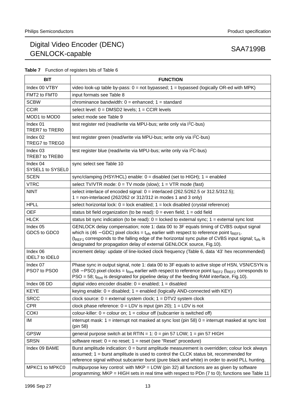| <b>Table 7</b> Function of registers bits of Table 6 |
|------------------------------------------------------|
|------------------------------------------------------|

| <b>BIT</b>                               | <b>FUNCTION</b>                                                                                                                                                                                                                                                                                                                                                                                  |
|------------------------------------------|--------------------------------------------------------------------------------------------------------------------------------------------------------------------------------------------------------------------------------------------------------------------------------------------------------------------------------------------------------------------------------------------------|
| Index 00 VTBY                            | video look-up table by-pass: $0 = not$ bypassed; $1 =$ bypassed (logically OR-ed with MPK)                                                                                                                                                                                                                                                                                                       |
| FMT2 to FMT0                             | input formats see Table 8                                                                                                                                                                                                                                                                                                                                                                        |
| <b>SCBW</b>                              | chrominance bandwidth: $0 =$ enhanced; $1 =$ standard                                                                                                                                                                                                                                                                                                                                            |
| <b>CCIR</b>                              | select level: $0 = DMSD2$ levels; $1 = CCIR$ levels                                                                                                                                                                                                                                                                                                                                              |
| MOD1 to MOD0                             | select mode see Table 9                                                                                                                                                                                                                                                                                                                                                                          |
| Index 01<br>TRER7 to TRER0               | test register red (read/write via MPU-bus; write only via I <sup>2</sup> C-bus)                                                                                                                                                                                                                                                                                                                  |
| Index 02<br>TREG7 to TREG0               | test register green (read/write via MPU-bus; write only via I <sup>2</sup> C-bus)                                                                                                                                                                                                                                                                                                                |
| Index 03<br>TREB7 to TREB0               | test register blue (read/write via MPU-bus; write only via I <sup>2</sup> C-bus)                                                                                                                                                                                                                                                                                                                 |
| Index 04<br>SYSEL1 to SYSEL0             | sync select see Table 10                                                                                                                                                                                                                                                                                                                                                                         |
| <b>SCEN</b>                              | sync/clamping (HSY/HCL) enable: $0 =$ disabled (set to HIGH); $1 =$ enabled                                                                                                                                                                                                                                                                                                                      |
| <b>VTRC</b>                              | select TV/VTR mode: $0 = TV$ mode (slow); $1 = VTR$ mode (fast)                                                                                                                                                                                                                                                                                                                                  |
| <b>NINT</b>                              | select interlace of encoded signal: $0 =$ interlaced (262.5/262.5 or 312.5/312.5);<br>1 = non-interlaced (262/262 or 312/312 in modes 1 and 3 only)                                                                                                                                                                                                                                              |
| <b>HPLL</b>                              | select horizontal lock: $0 =$ lock enabled; $1 =$ lock disabled (crystal reference)                                                                                                                                                                                                                                                                                                              |
| <b>OEF</b>                               | status bit field organization (to be read): $0 =$ even field; $1 =$ odd field                                                                                                                                                                                                                                                                                                                    |
| <b>HLCK</b>                              | status bit sync indication (to be read): $0 =$ locked to external sync; $1 =$ external sync lost                                                                                                                                                                                                                                                                                                 |
| Index 05<br>GDC5 to GDC0                 | GENLOCK delay compensation; note 1: data 00 to 3F equals timing of CVBS output signal<br>which is (46 – GDC) pixel clocks = $t_{\text{ofs}}$ earlier with respect to reference point $t_{\text{REF1}}$ .<br>$(t_{REF1}$ corresponds to the falling edge of the horizontal sync pulse of CVBS input signal; $t_{obs}$ is<br>designated for propagation delay of external GENLOCK source, Fig.10). |
| Index 06<br><b>IDEL7</b> to <b>IDEL0</b> | increment delay: update of line-locked clock frequency (Table 6, data '43' hex recommended)                                                                                                                                                                                                                                                                                                      |
| Index 07<br>PSO7 to PSO0                 | Phase sync in output signal, note 1: data 00 to 3F equals to active slope of HSN, VSN/CSYN is<br>(58 – PSO) pixel clocks = t <sub>Rint</sub> earlier with respect to reference point t <sub>REF2</sub> (t <sub>REF2</sub> corresponds to<br>PSO = 58; $t_{\text{Rint}}$ is designated for pipeline delay of the feeding RAM interface, Fig.10).                                                  |
| Index 08 DD                              | digital video encoder disable: $0 =$ enabled; $1 =$ disabled                                                                                                                                                                                                                                                                                                                                     |
| <b>KEYE</b>                              | keying enable: $0 =$ disabled; $1 =$ enabled (logically AND-connected with KEY)                                                                                                                                                                                                                                                                                                                  |
| <b>SRCC</b>                              | clock source: $0 =$ external system clock; $1 = DTV2$ system clock                                                                                                                                                                                                                                                                                                                               |
| <b>CPR</b>                               | clock phase reference: $0 = LDV$ is input (pin 20); $1 = LDV$ is not                                                                                                                                                                                                                                                                                                                             |
| <b>COKI</b>                              | colour-killer: $0 =$ colour on; $1 =$ colour off (subcarrier is switched off)                                                                                                                                                                                                                                                                                                                    |
| IM                                       | interrupt mask: $1 =$ interrupt not masked at sync lost (pin 58) $0 =$ interrupt masked at sync lost<br>(pin 58)                                                                                                                                                                                                                                                                                 |
| <b>GPSW</b>                              | general purpose switch at bit RTIN = 1: $0 = \text{pin } 57$ LOW; 1 = $\text{pin } 57$ HIGH                                                                                                                                                                                                                                                                                                      |
| <b>SRSN</b>                              | software reset: $0 = no$ reset; $1 = reset$ (see "Reset" procedure)                                                                                                                                                                                                                                                                                                                              |
| Index 09 BAME                            | Burst amplitude indication: 0 = burst amplitude measurement is overridden; colour lock always<br>assumed; 1 = burst amplitude is used to control the CLCK status bit, recommended for<br>reference signal without subcarrier burst (pure black and white) in order to avoid PLL hunting.                                                                                                         |
| MPKC1 to MPKC0                           | multipurpose key control: with $MKP = LOW$ (pin 32) all functions are as given by software<br>programming; MKP = HIGH sets in real time with respect to PDn (7 to 0); functions see Table 11                                                                                                                                                                                                     |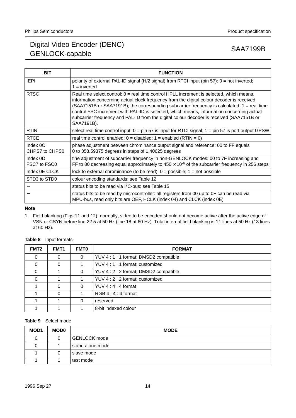| <b>BIT</b>                             | <b>FUNCTION</b>                                                                                                                                                                                                                                                                                                                                                                                                                                                                                      |
|----------------------------------------|------------------------------------------------------------------------------------------------------------------------------------------------------------------------------------------------------------------------------------------------------------------------------------------------------------------------------------------------------------------------------------------------------------------------------------------------------------------------------------------------------|
| <b>IEPI</b>                            | polarity of external PAL-ID signal (H/2 signal) from RTCI input (pin 57): 0 = not inverted;<br>$1 = inverted$                                                                                                                                                                                                                                                                                                                                                                                        |
| <b>RTSC</b>                            | Real time select control: $0 =$ real time control HPLL increment is selected, which means,<br>information concerning actual clock frequency from the digital colour decoder is received<br>$(SAA7151B$ or $SAA7191B$ ); the corresponding subcarrier frequency is calculated; $1 =$ real time<br>control FSC increment with PAL-ID is selected, which means, information concerning actual<br>subcarrier frequency and PAL-ID from the digital colour decoder is received (SAA7151B or<br>SAA7191B). |
| <b>RTIN</b>                            | select real time control input: $0 = \pi/57$ is input for RTCI signal; $1 = \pi/57$ is port output GPSW                                                                                                                                                                                                                                                                                                                                                                                              |
| <b>RTCE</b>                            | real time control enabled: $0 =$ disabled; $1 =$ enabled (RTIN = 0)                                                                                                                                                                                                                                                                                                                                                                                                                                  |
| Index <sub>0</sub> C<br>CHPS7 to CHPS0 | phase adjustment between chrominance output signal and reference: 00 to FF equals<br>0 to 358.59375 degrees in steps of 1.40625 degrees                                                                                                                                                                                                                                                                                                                                                              |
| Index 0D<br>FSC7 to FSC0               | fine adjustment of subcarrier frequency in non-GENLOCK modes: 00 to 7F increasing and<br>FF to 80 decreasing equal approximately to $450 \times 10^{-6}$ of the subcarrier frequency in 256 steps                                                                                                                                                                                                                                                                                                    |
| Index OE CLCK                          | lock to external chrominance (to be read): $0 =$ possible; $1 =$ not possible                                                                                                                                                                                                                                                                                                                                                                                                                        |
| STD3 to STD0                           | colour encoding standards; see Table 12                                                                                                                                                                                                                                                                                                                                                                                                                                                              |
|                                        | status bits to be read via I <sup>2</sup> C-bus: see Table 15                                                                                                                                                                                                                                                                                                                                                                                                                                        |
|                                        | status bits to be read by microcontroller: all registers from 00 up to 0F can be read via<br>MPU-bus, read only bits are OEF, HCLK (index 04) and CLCK (index 0E)                                                                                                                                                                                                                                                                                                                                    |

**Note**

1. Field blanking (Figs 11 and 12): normally, video to be encoded should not become active after the active edge of VSN or CSYN before line 22.5 at 50 Hz (line 18 at 60 Hz). Total internal field blanking is 11 lines at 50 Hz (13 lines at 60 Hz).

| FMT <sub>2</sub> | FMT <sub>1</sub> | <b>FMT0</b> | <b>FORMAT</b>                          |
|------------------|------------------|-------------|----------------------------------------|
| 0                | 0                | $\Omega$    | YUV 4 : 1 : 1 format; DMSD2 compatible |
| $\Omega$         | 0                |             | YUV 4 : 1 : 1 format; customized       |
| $\Omega$         |                  | 0           | YUV 4 : 2 : 2 format; DMSD2 compatible |
| $\Omega$         |                  |             | YUV 4 : 2 : 2 format; customized       |
|                  | 0                | 0           | YUV $4:4:4$ format                     |
|                  | 0                |             | $RGB 4:4:4$ format                     |
|                  |                  | 0           | reserved                               |
|                  |                  |             | 8-bit indexed colour                   |

### **Table 8** Input formats

## **Table 9** Select mode

| MOD1 | <b>MOD0</b> | <b>MODE</b>         |
|------|-------------|---------------------|
| 0    |             | <b>GENLOCK</b> mode |
| 0    |             | stand alone mode    |
|      | Ü           | ' slave mode        |
|      |             | test mode           |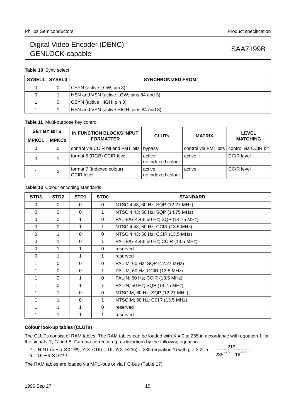### **Table 10** Sync select

| SYSEL1 SYSEL0 | <b>SYNCHRONIZED FROM</b>                 |
|---------------|------------------------------------------|
|               | CSYN (active LOW; pin 3)                 |
|               | HSN and VSN (active LOW; pins 84 and 3)  |
| 0             | CSYN (active HIGH; pin 3)                |
|               | HSN and VSN (active HIGH; pins 84 and 3) |

## **Table 11** Multi-purpose key control

|              | <b>SET BY BITS</b> | IN FUNCTION BLOCKS INPUT                | <b>CLUTs</b>                 | <b>MATRIX</b> | <b>LEVEL</b>                              |  |
|--------------|--------------------|-----------------------------------------|------------------------------|---------------|-------------------------------------------|--|
| <b>MPKC1</b> | <b>MPKC0</b>       | <b>FORMATTER</b>                        |                              |               | <b>MATCHING</b>                           |  |
|              | 0                  | control via CCIR bit and FMT bits       | bypass                       |               | control via FMT bits control via CCIR bit |  |
|              |                    | format 5 (RGB) CCIR level               | active,<br>no indexed colour | active        | <b>CCIR</b> level                         |  |
|              | Х                  | format 7 (indexed colour)<br>CCIR level | active,<br>no indexed colour | active        | <b>CCIR</b> level                         |  |

## **Table 12** Colour encoding standards

| STD <sub>3</sub> | STD <sub>2</sub> | STD <sub>1</sub> | <b>STD0</b> | <b>STANDARD</b>                      |
|------------------|------------------|------------------|-------------|--------------------------------------|
| $\Omega$         | $\Omega$         | $\Omega$         | $\mathbf 0$ | NTSC 4.43; 60 Hz; SQP (12.27 MHz)    |
| $\Omega$         | $\Omega$         | $\Omega$         | 1           | NTSC 4.43; 50 Hz; SQP (14.75 MHz)    |
| $\Omega$         | $\Omega$         | 1                | $\Omega$    | PAL-B/G 4.43; 50 Hz; SQP (14.75 MHz) |
| $\Omega$         | $\Omega$         | 1                | 1           | NTSC 4.43; 60 Hz; CCIR (13.5 MHz)    |
| $\Omega$         | 1                | $\Omega$         | $\Omega$    | NTSC 4.43; 50 Hz; CCIR (13.5 MHz)    |
| $\mathbf 0$      |                  | $\Omega$         |             | PAL-B/G 4.43; 50 Hz; CCIR (13.5 MHz) |
| $\Omega$         |                  |                  | $\Omega$    | reserved                             |
| $\Omega$         |                  | 1                | 1           | reserved                             |
|                  | 0                | 0                | $\Omega$    | PAL-M; 60 Hz; SQP (12.27 MHz)        |
|                  | $\Omega$         | $\Omega$         |             | PAL-M; 60 Hz; CCIR (13.5 MHz)        |
|                  | $\Omega$         |                  | $\Omega$    | PAL-N; 50 Hz; CCIR (13.5 MHz)        |
|                  | 0                |                  |             | PAL-N; 50 Hz; SQP (14.75 MHz)        |
|                  |                  | $\Omega$         | $\Omega$    | NTSC-M; 60 Hz; SQP (12.27 MHz)       |
|                  |                  | $\Omega$         | 1           | NTSC-M; 60 Hz; CCIR (13.5 MHz)       |
|                  |                  |                  | $\Omega$    | reserved                             |
|                  |                  |                  |             | reserved                             |

## **Colour look-up tables (CLUTs)**

The CLUTs consist of RAM tables. The RAM tables can be loaded with  $X = 0$  to 255 in accordance with equation 1 for the signals R, G and B. Gamma-correction (pre-distortion) by the following equation:

Y = NINT (b + a × X1<sup>1/g</sup>); Y(X ≤ 16) = 16; Y(X ≥ 235) = 235 (equation 1) with g = 2.2: a =  $\frac{219}{27}$ b = 16 – a $\times$  16<sup>–2.2</sup>  $a = \frac{219}{23}$  $= \frac{213}{235^{-2.2} - 16^{-2.2}}$ 

The RAM tables are loaded via MPU-bus or via I<sup>2</sup>C-bus (Table 17).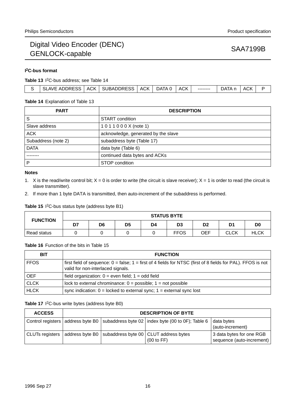## **I 2C-bus format**

**Table 13** I 2C-bus address; see Table 14

|  |  | : ADDRESS<br>SLAVE | <b>ACK</b> | <b>SUBADDRESS</b> | ACK I | DATA 0 | <b>ACK</b> | -------- | ATAר<br>$\sim$ | ACK |  |
|--|--|--------------------|------------|-------------------|-------|--------|------------|----------|----------------|-----|--|
|--|--|--------------------|------------|-------------------|-------|--------|------------|----------|----------------|-----|--|

### **Table 14** Explanation of Table 13

| <b>PART</b>         | <b>DESCRIPTION</b>                  |
|---------------------|-------------------------------------|
| S                   | START condition                     |
| Slave address       | 1011000X (note 1)                   |
| <b>ACK</b>          | acknowledge, generated by the slave |
| Subaddress (note 2) | subaddress byte (Table 17)          |
| <b>DATA</b>         | data byte (Table 6)                 |
|                     | continued data bytes and ACKs       |
| P                   | STOP condition                      |

### **Notes**

- 1. X is the read/write control bit;  $X = 0$  is order to write (the circuit is slave receiver);  $X = 1$  is order to read (the circuit is slave transmitter).
- 2. If more than 1 byte DATA is transmitted, then auto-increment of the subaddress is performed.

## **Table 15** I 2C-bus status byte (address byte B1)

| <b>FUNCTION</b> | <b>STATUS BYTE</b> |    |    |    |             |                |                |             |  |
|-----------------|--------------------|----|----|----|-------------|----------------|----------------|-------------|--|
|                 | D7                 | D6 | D5 | D4 | D3          | D <sub>2</sub> | D <sub>1</sub> | D0          |  |
| Read status     |                    |    |    |    | <b>FFOS</b> | OEF            | <b>CLCK</b>    | <b>HLCK</b> |  |

## **Table 16** Function of the bits in Table 15

| <b>BIT</b>  | <b>FUNCTION</b>                                                                                                                                       |
|-------------|-------------------------------------------------------------------------------------------------------------------------------------------------------|
| <b>FFOS</b> | first field of sequence: $0 = false$ ; $1 =$ first of 4 fields for NTSC (first of 8 fields for PAL). FFOS is not<br>valid for non-interlaced signals. |
| <b>OEF</b>  | field organization: $0 =$ even field; $1 =$ odd field                                                                                                 |
| <b>CLCK</b> | lock to external chrominance: $0 =$ possible; $1 =$ not possible                                                                                      |
| <b>HLCK</b> | sync indication: $0 =$ locked to external sync; $1 =$ external sync lost                                                                              |

## Table 17 <sup>2</sup>C-bus write bytes (address byte B0)

| <b>ACCESS</b>          | <b>DESCRIPTION OF BYTE</b> |  |                                                                                           |                                                       |  |  |  |  |
|------------------------|----------------------------|--|-------------------------------------------------------------------------------------------|-------------------------------------------------------|--|--|--|--|
|                        |                            |  | Control registers   address byte B0   subaddress byte 02   index byte (00 to 0F); Table 6 | data bytes<br>(auto-increment)                        |  |  |  |  |
| <b>CLUTs registers</b> |                            |  | address byte B0 $\vert$ subaddress byte 00 $\vert$ CLUT address bytes<br>(00 to FF)       | 3 data bytes for one RGB<br>sequence (auto-increment) |  |  |  |  |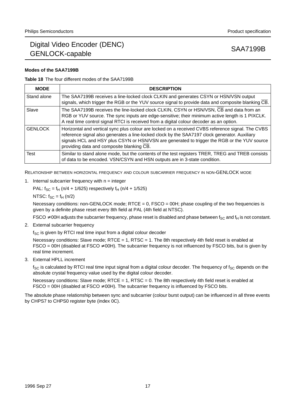## **Modes of the SAA7199B**

### **Table 18** The four different modes of the SAA7199B

| <b>MODE</b>    | <b>DESCRIPTION</b>                                                                                                                                                                                                                                                                                                                             |
|----------------|------------------------------------------------------------------------------------------------------------------------------------------------------------------------------------------------------------------------------------------------------------------------------------------------------------------------------------------------|
| Stand alone    | The SAA7199B receives a line-locked clock CLKIN and generates CSYN or HSN/VSN output<br>signals, which trigger the RGB or the YUV source signal to provide data and composite blanking CB.                                                                                                                                                     |
| Slave          | The SAA7199B receives the line-locked clock CLKIN, CSYN or HSN/VSN, CB and data from an<br>RGB or YUV source. The sync inputs are edge-sensitive; their minimum active length is 1 PIXCLK.<br>A real time control signal RTCI is received from a digital colour decoder as an option.                                                          |
| <b>GENLOCK</b> | Horizontal and vertical sync plus colour are locked on a received CVBS reference signal. The CVBS<br>reference signal also generates a line-locked clock by the SAA7197 clock generator. Auxiliary<br>signals HCL and HSY plus CSYN or HSN/VSN are generated to trigger the RGB or the YUV source<br>providing data and composite blanking CB. |
| Test           | Similar to stand alone mode, but the contents of the test registers TRER, TREG and TREB consists<br>of data to be encoded. VSN/CSYN and HSN outputs are in 3-state condition.                                                                                                                                                                  |

RELATIONSHIP BETWEEN HORIZONTAL FREQUENCY AND COLOUR SUBCARRIER FREQUENCY IN NON-GENLOCK MODE

1. Internal subcarrier frequency with  $n =$  integer

PAL:  $f_{SC} = f_H (n/4 + 1/625)$  respectively  $f_H (n/4 + 1/525)$ 

NTSC:  $f_{SC} = f_H (n/2)$ 

Necessary conditions: non-GENLOCK mode; RTCE =  $0$ , FSCO = 00H; phase coupling of the two frequencies is given by a definite phase reset every 8th field at PAL (4th field at NTSC).

FSCO  $\neq$  00H adjusts the subcarrier frequency, phase reset is disabled and phase between f<sub>SC</sub> and f<sub>H</sub> is not constant.

2. External subcarrier frequency

 $f_{SC}$  is given by RTCI real time input from a digital colour decoder

Necessary conditions: Slave mode; RTCE = 1, RTSC = 1. The 8th respectively 4th field reset is enabled at  $FSCO = 00H$  (disabled at  $FSCO \neq 00H$ ). The subcarrier frequency is not influenced by  $FSCO$  bits, but is given by real time increment.

3. External HPLL increment

 $f_{SC}$  is calculated by RTCI real time input signal from a digital colour decoder. The frequency of  $f_{SC}$  depends on the absolute crystal frequency value used by the digital colour decoder.

Necessary conditions: Slave mode; RTCE = 1, RTSC = 0. The 8th respectively 4th field reset is enabled at  $FSCO = 00H$  (disabled at  $FSCO \neq 00H$ ). The subcarrier frequency is influenced by FSCO bits.

The absolute phase relationship between sync and subcarrier (colour burst output) can be influenced in all three events by CHPS7 to CHPS0 register byte (index 0C).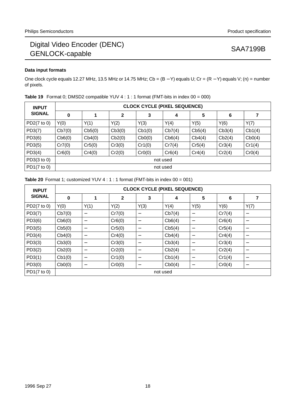## **Data input formats**

One clock cycle equals 12.27 MHz, 13.5 MHz or 14.75 MHz; Cb = (B − Y) equals U; Cr = (R − Y) equals V; (n) = number of pixels.

| <b>INPUT</b>  | <b>CLOCK CYCLE (PIXEL SEQUENCE)</b> |          |              |        |          |        |        |        |  |  |  |
|---------------|-------------------------------------|----------|--------------|--------|----------|--------|--------|--------|--|--|--|
| <b>SIGNAL</b> | 0                                   |          | $\mathbf{2}$ | 3      | 4        | 5      | 6      |        |  |  |  |
| PD2(7 to 0)   | Y(0)                                | Y(1)     | Y(2)         | Y(3)   | Y(4)     | Y(5)   | Y(6)   | Y(7)   |  |  |  |
| PD3(7)        | Cb7(0)                              | Cb5(0)   | Cb3(0)       | Cb1(0) | Cb7(4)   | Cb5(4) | Cb3(4) | Cb1(4) |  |  |  |
| PD3(6)        | Cb6(0)                              | Cb4(0)   | Cb2(0)       | Cb0(0) | Cb6(4)   | Cb4(4) | Cb2(4) | Cb0(4) |  |  |  |
| PD3(5)        | Cr7(0)                              | Cr5(0)   | Cr3(0)       | Cr1(0) | Cr7(4)   | Cr5(4) | Cr3(4) | Cr1(4) |  |  |  |
| PD3(4)        | Cr6(0)                              | Cr4(0)   | Cr2(0)       | CrO(0) | Cr6(4)   | Cr4(4) | Cr2(4) | CrO(4) |  |  |  |
| PD3(3 to 0)   |                                     | not used |              |        |          |        |        |        |  |  |  |
| PD1(7 to 0)   |                                     |          |              |        | not used |        |        |        |  |  |  |

|  | <b>Table 19</b> Format 0; DMSD2 compatible YUV 4 : 1 : 1 format (FMT-bits in index $00 = 000$ ) |  |  |  |  |  |  |
|--|-------------------------------------------------------------------------------------------------|--|--|--|--|--|--|
|--|-------------------------------------------------------------------------------------------------|--|--|--|--|--|--|

|  |  |  |  |  | <b>Table 20</b> Format 1; customized YUV 4 : 1 : 1 format (FMT-bits in index $00 = 001$ ) |  |
|--|--|--|--|--|-------------------------------------------------------------------------------------------|--|
|--|--|--|--|--|-------------------------------------------------------------------------------------------|--|

| <b>INPUT</b>  | <b>CLOCK CYCLE (PIXEL SEQUENCE)</b> |                 |        |                                  |          |                          |        |                          |  |  |  |
|---------------|-------------------------------------|-----------------|--------|----------------------------------|----------|--------------------------|--------|--------------------------|--|--|--|
| <b>SIGNAL</b> | 0                                   | 1               | 2      | 3                                | 4        | 5                        | 6      | 7                        |  |  |  |
| PD2(7 to 0)   | Y(0)                                | Y(1)            | Y(2)   | Y(3)                             | Y(4)     | Y(5)                     | Y(6)   | Y(7)                     |  |  |  |
| PD3(7)        | Cb7(0)                              | $\qquad \qquad$ | Cr7(0) |                                  | Cb7(4)   |                          | Cr7(4) |                          |  |  |  |
| PD3(6)        | Cb6(0)                              | $\qquad \qquad$ | Cr6(0) | $\overbrace{\phantom{12322111}}$ | Cb6(4)   |                          | Cr6(4) | $\overline{\phantom{0}}$ |  |  |  |
| PD3(5)        | Cb5(0)                              | $\qquad \qquad$ | Cr5(0) | $\overbrace{\phantom{12322111}}$ | Cb5(4)   |                          | Cr5(4) | $\overline{\phantom{0}}$ |  |  |  |
| PD3(4)        | Cb4(0)                              | $\qquad \qquad$ | Cr4(0) |                                  | Cb4(4)   |                          | Cr4(4) | $\overline{\phantom{0}}$ |  |  |  |
| PD3(3)        | Cb3(0)                              | —               | Cr3(0) | $\overline{\phantom{m}}$         | Cb3(4)   | $\overline{\phantom{m}}$ | Cr3(4) | $\overline{\phantom{0}}$ |  |  |  |
| PD3(2)        | Cb2(0)                              | —               | Cr2(0) | $\overline{\phantom{m}}$         | Cb2(4)   | $\overline{\phantom{m}}$ | Cr2(4) | $\overline{\phantom{0}}$ |  |  |  |
| PD3(1)        | Cb1(0)                              | —               | Cr1(0) | $\overbrace{\phantom{12322111}}$ | Cb1(4)   | $\overline{\phantom{m}}$ | Cr1(4) | $\overline{\phantom{0}}$ |  |  |  |
| PD3(0)        | Cb0(0)                              | $\qquad \qquad$ | CrO(0) | $\overbrace{\phantom{12322111}}$ | Cb0(4)   |                          | CrO(4) |                          |  |  |  |
| PD1(7 to 0)   |                                     |                 |        |                                  | not used |                          |        |                          |  |  |  |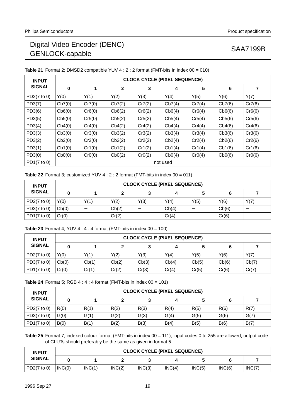| <b>INPUT</b>  | <b>CLOCK CYCLE (PIXEL SEQUENCE)</b> |        |        |        |          |        |        |        |  |  |  |
|---------------|-------------------------------------|--------|--------|--------|----------|--------|--------|--------|--|--|--|
| <b>SIGNAL</b> | 0                                   | 1      | 2      | 3      | 4        | 5      | 6      | 7      |  |  |  |
| PD2(7 to 0)   | Y(0)                                | Y(1)   | Y(2)   | Y(3)   | Y(4)     | Y(5)   | Y(6)   | Y(7)   |  |  |  |
| PD3(7)        | Cb7(0)                              | Cr7(0) | Cb7(2) | Cr7(2) | Cb7(4)   | Cr7(4) | Cb7(6) | Cr7(6) |  |  |  |
| PD3(6)        | Cb6(0)                              | Cr6(0) | Cb6(2) | Cr6(2) | Cb6(4)   | Cr6(4) | Cb6(6) | Cr6(6) |  |  |  |
| PD3(5)        | Cb5(0)                              | Cr5(0) | Cb5(2) | Cr5(2) | Cb5(4)   | Cr5(4) | Cb5(6) | Cr5(6) |  |  |  |
| PD3(4)        | Cb4(0)                              | Cr4(0) | Cb4(2) | Cr4(2) | Cb4(4)   | Cr4(4) | Cb4(6) | Cr4(6) |  |  |  |
| PD3(3)        | Cb3(0)                              | Cr3(0) | Cb3(2) | Cr3(2) | Cb3(4)   | Cr3(4) | Cb3(6) | Cr3(6) |  |  |  |
| PD3(2)        | Cb2(0)                              | Cr2(0) | Cb2(2) | Cr2(2) | Cb2(4)   | Cr2(4) | Cb2(6) | Cr2(6) |  |  |  |
| PD3(1)        | Cb1(0)                              | Cr1(0) | Cb1(2) | Cr1(2) | Cb1(4)   | Cr1(4) | Cb1(6) | Cr1(6) |  |  |  |
| PD3(0)        | Cb0(0)                              | CrO(0) | Cb0(2) | CrO(2) | Cb0(4)   | CrO(4) | Cb0(6) | CrO(6) |  |  |  |
| PD1(7 to 0)   |                                     |        |        |        | not used |        |        |        |  |  |  |

**Table 21** Format 2; DMSD2 compatible YUV 4 : 2 : 2 format (FMT-bits in index 00 = 010)

**Table 22** Format 3; customized YUV  $4:2:2$  format (FMT-bits in index  $00 = 011$ )

| <b>INPUT</b>  | <b>CLOCK CYCLE (PIXEL SEQUENCE)</b> |      |       |      |       |      |       |      |  |  |  |
|---------------|-------------------------------------|------|-------|------|-------|------|-------|------|--|--|--|
| <b>SIGNAL</b> |                                     |      |       |      |       |      |       |      |  |  |  |
| PD2(7 to 0)   | Y(0)                                | Y(1) | Y(2)  | Y(3) | Y(4)  | Y(5) | Y(6)  | Y(7) |  |  |  |
| PD3(7 to 0)   | Cb(0)                               |      | Cb(2) |      | Cb(4) |      | Cb(6) |      |  |  |  |
| PD1(7 to 0)   | Cr(0)                               | –    | Cr(2) |      | Cr(4) |      | Cr(6) |      |  |  |  |

**Table 23** Format 4; YUV 4 : 4 : 4 format (FMT-bits in index  $00 = 100$ )

| <b>INPUT</b>            | <b>CLOCK CYCLE (PIXEL SEQUENCE)</b> |       |       |       |       |       |       |       |  |  |  |
|-------------------------|-------------------------------------|-------|-------|-------|-------|-------|-------|-------|--|--|--|
| <b>SIGNAL</b>           |                                     |       |       | 3     |       |       | 6     |       |  |  |  |
| PD $2(7 \text{ to } 0)$ | Y(0)                                | Y(1)  | Y(2)  | Y(3)  | Y(4)  | Y(5)  | Y(6)  | Y(7)  |  |  |  |
| PD $3(7 \text{ to } 0)$ | Cb(0)                               | Cb(1) | Cb(2) | Cb(3) | Cb(4) | Cb(5) | Cb(6) | Cb(7) |  |  |  |
| PD1 $(7 \text{ to } 0)$ | Cr(0)                               | Cr(1) | Cr(2) | Cr(3) | Cr(4) | Cr(5) | Cr(6) | Cr(7) |  |  |  |

**Table 24** Format 5; RGB 4 : 4 : 4 format (FMT-bits in index 00 = 101)

| <b>INPUT</b>            | <b>CLOCK CYCLE (PIXEL SEQUENCE)</b> |      |      |      |      |      |      |      |  |  |  |
|-------------------------|-------------------------------------|------|------|------|------|------|------|------|--|--|--|
| <b>SIGNAL</b>           |                                     |      |      |      |      | 5    | 6    |      |  |  |  |
| PD $2(7 \text{ to } 0)$ | R(0)                                | R(1) | R(2) | R(3) | R(4) | R(5) | R(6) | R(7) |  |  |  |
| PD $3(7 \text{ to } 0)$ | G(0)                                | G(1) | G(2) | G(3) | G(4) | G(5) | G(6) | G(7) |  |  |  |
| PD1 $(7 \text{ to } 0)$ | B(0)                                | B(1) | B(2) | B(3) | B(4) | B(5) | B(6) | B(7) |  |  |  |

**Table 25** Format 7; indexed colour format (FMT-bits in index 00 = 111), input codes 0 to 255 are allowed, output code of CLUTs should preferably be the same as given in format 5

| <b>INPUT</b>            |        | <b>CLOCK CYCLE (PIXEL SEQUENCE)</b> |        |        |        |        |        |        |  |  |  |
|-------------------------|--------|-------------------------------------|--------|--------|--------|--------|--------|--------|--|--|--|
| <b>SIGNAL</b>           |        |                                     |        |        |        |        |        |        |  |  |  |
| PD $2(7 \text{ to } 0)$ | INC(0) | INC(1)                              | INC(2) | INC(3) | INC(4) | INC(5) | INC(6) | INC(7) |  |  |  |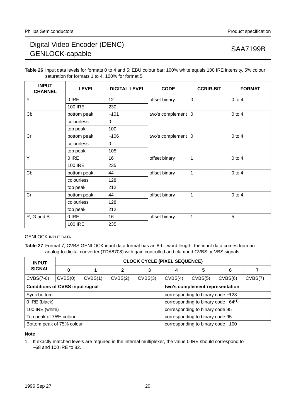**Table 26** Input data levels for formats 0 to 4 and 5; EBU colour bar; 100% white equals 100 IRE intensity, 5% colour saturation for formats 1 to 4, 100% for format 5

| <b>INPUT</b><br><b>CHANNEL</b> | <b>LEVEL</b>   | <b>DIGITAL LEVEL</b> | <b>CODE</b>                  | <b>CCRIR-BIT</b> | <b>FORMAT</b> |
|--------------------------------|----------------|----------------------|------------------------------|------------------|---------------|
| Y                              | 0 IRE          | 12                   | offset binary                | $\overline{0}$   | $0$ to $4$    |
|                                | <b>100 IRE</b> | 230                  |                              |                  |               |
| Cb                             | bottom peak    | $-101$               | two's complement $ 0\rangle$ |                  | $0$ to $4$    |
|                                | colourless     | 0                    |                              |                  |               |
|                                | top peak       | 100                  |                              |                  |               |
| Cr                             | bottom peak    | $-106$               | two's complement $ 0\rangle$ |                  | $0$ to $4$    |
|                                | colourless     | $\mathbf 0$          |                              |                  |               |
|                                | top peak       | 105                  |                              |                  |               |
| Y                              | 0 IRE          | 16                   | offset binary                | $\mathbf{1}$     | $0$ to $4$    |
|                                | <b>100 IRE</b> | 235                  |                              |                  |               |
| Cb                             | bottom peak    | 44                   | offset binary                | $\mathbf{1}$     | $0$ to $4$    |
|                                | colourless     | 128                  |                              |                  |               |
|                                | top peak       | 212                  |                              |                  |               |
| Cr                             | bottom peak    | 44                   | offset binary                | $\mathbf{1}$     | $0$ to $4$    |
|                                | colourless     | 128                  |                              |                  |               |
|                                | top peak       | 212                  |                              |                  |               |
| R, G and B                     | 0 IRE          | 16                   | offset binary                | $\mathbf{1}$     | 5             |
|                                | <b>100 IRE</b> | 235                  |                              |                  |               |

## GENLOCK INPUT DATA

**Table 27** Format 7; CVBS GENLOCK input data format has an 8-bit word length, the input data comes from an analog-to-digital converter (TDA8708) with gain controlled and clamped CVBS or VBS signals

| <b>INPUT</b>                           | <b>CLOCK CYCLE (PIXEL SEQUENCE)</b> |         |                |                                   |                                          |         |         |         |  |
|----------------------------------------|-------------------------------------|---------|----------------|-----------------------------------|------------------------------------------|---------|---------|---------|--|
| <b>SIGNAL</b>                          | 0                                   |         | $\overline{2}$ | 3                                 | 4                                        | 5       | 6       |         |  |
| $CVBS(7-0)$                            | CVBS(0)                             | CVBS(1) | CVBS(2)        | CVBS(3)                           | CVBS(4)                                  | CVBS(5) | CVBS(6) | CVBS(7) |  |
| <b>Conditions of CVBS input signal</b> |                                     |         |                | two's complement representation   |                                          |         |         |         |  |
| Sync bottom                            |                                     |         |                |                                   | corresponding to binary code -128        |         |         |         |  |
| 0 IRE (black)                          |                                     |         |                |                                   | corresponding to binary code $-64^{(1)}$ |         |         |         |  |
| 100 IRE (white)                        |                                     |         |                |                                   | corresponding to binary code 95          |         |         |         |  |
| Top peak of 75% colour                 |                                     |         |                | corresponding to binary code 95   |                                          |         |         |         |  |
| Bottom peak of 75% colour              |                                     |         |                | corresponding to binary code -100 |                                          |         |         |         |  |

## **Note**

1. If exactly matched levels are required in the internal multiplexer, the value 0 IRE should correspond to −68 and 100 IRE to 82.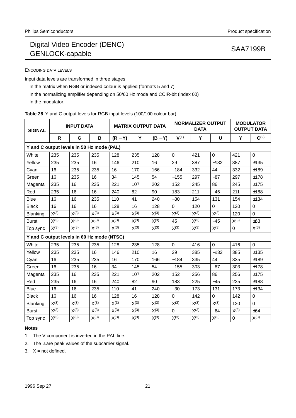ENCODING DATA LEVELS

Input data levels are transformed in three stages:

In the matrix when RGB or indexed colour is applied (formats 5 and 7)

In the normalizing amplifier depending on 50/60 Hz mode and CCIR-bit (index 00)

In the modulator.

|  |  | Table 28 Y and C output levels for RGB input levels (100/100 colour bar) |  |
|--|--|--------------------------------------------------------------------------|--|
|--|--|--------------------------------------------------------------------------|--|

| <b>INPUT DATA</b><br><b>SIGNAL</b>         |           | <b>MATRIX OUTPUT DATA</b> |           | <b>NORMALIZER OUTPUT</b><br><b>DATA</b> |           |           | <b>MODULATOR</b><br><b>OUTPUT DATA</b> |           |             |             |             |
|--------------------------------------------|-----------|---------------------------|-----------|-----------------------------------------|-----------|-----------|----------------------------------------|-----------|-------------|-------------|-------------|
|                                            | R         | G                         | B         | $(R - Y)$                               | Y         | $(B - Y)$ | V(1)                                   | Y         | U           | Y           | $C^{(2)}$   |
| Y and C output levels in 50 Hz mode (PAL)  |           |                           |           |                                         |           |           |                                        |           |             |             |             |
| White                                      | 235       | 235                       | 235       | 128                                     | 235       | 128       | $\mathbf 0$                            | 421       | $\mathbf 0$ | 421         | $\mathbf 0$ |
| Yellow                                     | 235       | 235                       | 16        | 146                                     | 210       | 16        | 29                                     | 387       | $-132$      | 387         | ±135        |
| Cyan                                       | 16        | 235                       | 235       | 16                                      | 170       | 166       | $-184$                                 | 332       | 44          | 332         | ±189        |
| Green                                      | 16        | 235                       | 16        | 34                                      | 145       | 54        | $-155$                                 | 297       | $-87$       | 297         | ±178        |
| Magenta                                    | 235       | 16                        | 235       | 221                                     | 107       | 202       | 152                                    | 245       | 86          | 245         | ±175        |
| Red                                        | 235       | 16                        | 16        | 240                                     | 82        | 90        | 183                                    | 211       | $-45$       | 211         | ±188        |
| Blue                                       | 16        | 16                        | 235       | 110                                     | 41        | 240       | $-30$                                  | 154       | 131         | 154         | ±134        |
| <b>Black</b>                               | 16        | 16                        | 16        | 128                                     | 16        | 128       | 0                                      | 120       | $\mathbf 0$ | 120         | 0           |
| Blanking                                   | $X^{(3)}$ | $X^{(3)}$                 | $X^{(3)}$ | $X^{(3)}$                               | $X^{(3)}$ | $X^{(3)}$ | $X^{(3)}$                              | $X^{(3)}$ | $X^{(3)}$   | 120         | $\Omega$    |
| <b>Burst</b>                               | $X^{(3)}$ | $X^{(3)}$                 | $X^{(3)}$ | $X^{(3)}$                               | $X^{(3)}$ | $X^{(3)}$ | 45                                     | $X^{(3)}$ | $-45$       | $X^{(3)}$   | ±63         |
| Top sync                                   | $X^{(3)}$ | $X^{(3)}$                 | $X^{(3)}$ | $X^{(3)}$                               | $X^{(3)}$ | $X^{(3)}$ | $X^{(3)}$                              | $X^{(3)}$ | $X^{(3)}$   | $\mathbf 0$ | $X^{(3)}$   |
| Y and C output levels in 60 Hz mode (NTSC) |           |                           |           |                                         |           |           |                                        |           |             |             |             |
| White                                      | 235       | 235                       | 235       | 128                                     | 235       | 128       | $\mathbf 0$                            | 416       | $\mathbf 0$ | 416         | $\Omega$    |
| Yellow                                     | 235       | 235                       | 16        | 146                                     | 210       | 16        | 29                                     | 385       | $-132$      | 385         | ±135        |
| Cyan                                       | 16        | 235                       | 235       | 16                                      | 170       | 166       | $-184$                                 | 335       | 44          | 335         | ±189        |
| Green                                      | 16        | 235                       | 16        | 34                                      | 145       | 54        | $-155$                                 | 303       | $-87$       | 303         | ±178        |
| Magenta                                    | 235       | 16                        | 235       | 221                                     | 107       | 202       | 152                                    | 256       | 86          | 256         | ±175        |
| Red                                        | 235       | 16                        | 16        | 240                                     | 82        | 90        | 183                                    | 225       | $-45$       | 225         | ±188        |
| <b>Blue</b>                                | 16        | 16                        | 235       | 110                                     | 41        | 240       | $-30$                                  | 173       | 131         | 173         | ±134        |
| <b>Black</b>                               | 16        | 16                        | 16        | 128                                     | 16        | 128       | $\Omega$                               | 142       | $\mathbf 0$ | 142         | 0           |
| Blanking                                   | $X^{(3)}$ | $X^{(3)}$                 | $X^{(3)}$ | $X^{(3)}$                               | $X^{(3)}$ | $X^{(3)}$ | $X^{(3)}$                              | $X^{(3)}$ | $X^{(3)}$   | 120         | $\Omega$    |
| <b>Burst</b>                               | $X^{(3)}$ | $X^{(3)}$                 | $X^{(3)}$ | $X^{(3)}$                               | $X^{(3)}$ | $X^{(3)}$ | 0                                      | $X^{(3)}$ | $-64$       | $X^{(3)}$   | ±64         |
| Top sync                                   | $X^{(3)}$ | X(3)                      | X(3)      | X(3)                                    | X(3)      | X(3)      | X(3)                                   | X(3)      | $X^{(3)}$   | $\mathbf 0$ | $X^{(3)}$   |

## **Notes**

1. The V component is inverted in the PAL line.

2. The  $\pm$  are peak values of the subcarrier signal.

3.  $X = not defined$ .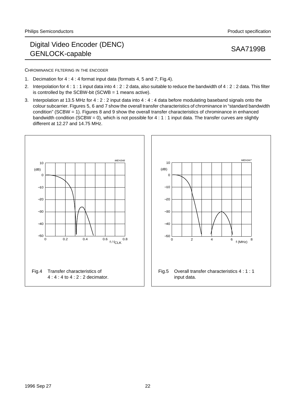CHROMINANCE FILTERING IN THE ENCODER

- 1. Decimation for 4 :4:4 format input data (formats 4, 5 and 7; Fig.4).
- 2. Interpolation for 4 : 1 : 1 input data into 4 : 2 : 2 data, also suitable to reduce the bandwidth of 4 : 2 : 2 data. This filter is controlled by the SCBW-bit (SCWB = 1 means active).
- 3. Interpolation at 13.5 MHz for 4 : 2 : 2 input data into 4 : 4 : 4 data before modulating baseband signals onto the colour subcarrier. Figures 5, 6 and 7 show the overall transfer characteristics of chrominance in "standard bandwidth condition" (SCBW = 1). Figures 8 and 9 show the overall transfer characteristics of chrominance in enhanced bandwidth condition (SCBW = 0), which is not possible for  $4:1:1$  input data. The transfer curves are slightly different at 12.27 and 14.75 MHz.



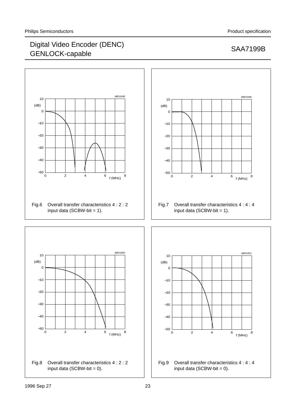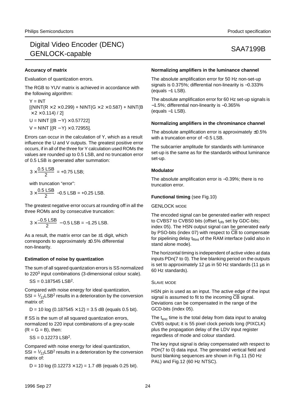### **Accuracy of matrix**

Evaluation of quantization errors.

The RGB to YUV matrix is achieved in accordance with the following algorithm:

 $Y = INT$  $[(NINT(R \times 2 \times 0.299) + NINT(G \times 2 \times 0.587) + NINT(B$  $\times$  2  $\times$  0.114) / 2]  $U = NINT [(B - Y) \times 0.57722]$  $V = NINT$  [(R – Y) × 0.72955].

Errors can occur in the calculation of Y, which as a result influence the U and V outputs. The greatest positive error occurs, if in all of the three for Y calculation used ROMs the values are rounded up to 0.5 LSB, and no truncation error of 0.5 LSB is generated after summation:

$$
3 \times \frac{0.5 \text{ LSB}}{2} = +0.75 \text{ LSB};
$$

with truncation "error":

 $3 \times \frac{0.5 \text{ LSB}}{2}$  -0.5 LSB = +0.25 LSB.

The greatest negative error occurs at rounding off in all the three ROMs and by consecutive truncation:

 $3 \times \frac{-0.5 \text{ LSB}}{2} - 0.5 \text{ LSB} = -1.25 \text{ LSB}.$ 

As a result, the matrix error can be  $\pm$ 1 digit, which corresponds to approximately ±0.5% differential non-linearity.

### **Estimation of noise by quantization**

The sum of all sqared quantization errors is SS normalized to 220<sup>3</sup> input combinations (3-dimensional colour scale).

 $SS = 0.187545$  LSB<sup>2</sup>.

Compared with noise energy for ideal quantization, SSI =  $\frac{1}{2}$ LSB<sup>2</sup> results in a deterioration by the conversion matrix of:

D = 10 log (0.187545  $\times$  12) = 3.5 dB (equals 0.5 bit).

If SS is the sum of all squared quantization errors, normalized to 220 input combinations of a grey-scale  $(R = G = B)$ , then:

 $SS = 0.12273$  LSB<sup>2</sup>.

Compared with noise energy for ideal quantization, SSI =  $\frac{1}{2}$ LSB<sup>2</sup> results in a deterioration by the conversion matrix of:

D = 10 log  $(0.12273 \times 12)$  = 1.7 dB (equals 0.25 bit).

### **Normalizing amplifiers in the luminance channel**

The absolute amplification error for 50 Hz non-set-up signals is 0.375%; differential non-linearity is −0.333% (equals −1 LSB).

The absolute amplification error for 60 Hz set-up signals is −1.5%; differential non-linearity is −0.365% (equals −1 LSB).

### **Normalizing amplifiers in the chrominance channel**

The absolute amplification error is approximately  $\pm 0.5\%$ with a truncation error of -0.5 LSB.

The subcarrier amplitude for standards with luminance set-up is the same as for the standards without luminance set-up.

### **Modulator**

The absolute amplification error is −0.39%; there is no truncation error.

### **Functional timing** (see Fig.10)

GENLOCK MODE

The encoded signal can be generated earlier with respect to CVBS7 to CVBS0 bits (offset  $t_{\rm obs}$  set by GDC-bits; index 05). The HSN output signal can be generated early by PSO-bits (index 07) with respect to CB to compensate for pipelining delay  $t_{\text{Rint}}$  of the RAM interface (valid also in stand alone mode).

The horizontal timing is independent of active video at data inputs PDn(7 to 0). The line blanking period on the outputs is set to approximately 12 µs in 50 Hz standards (11 µs in 60 Hz standards).

### SLAVE MODE

HSN pin is used as an input. The active edge of the input signal is assumed to fit to the incoming  $\overline{\text{CB}}$  signal. Deviations can be compensated in the range of the GCD-bits (index 05).

The  $t_{enc}$  time is the total delay from data input to analog CVBS output; it is 55 pixel clock periods long (PIXCLK) plus the propagation delay of the LDV input register regardless of mode and colour standard.

The key input signal is delay compensated with respect to PDn(7 to 0) data input. The generated vertical field and burst blanking sequences are shown in Fig.11 (50 Hz PAL) and Fig.12 (60 Hz NTSC).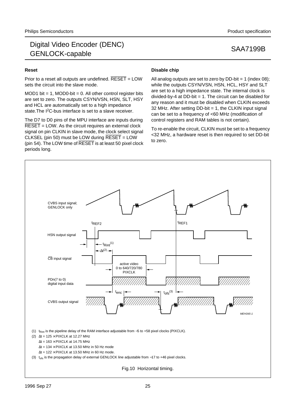## **Reset**

Prior to a reset all outputs are undefined.  $\overline{\text{REST}}$  = LOW sets the circuit into the slave mode.

MOD1 bit  $= 1$ , MOD0-bit  $= 0$ . All other control register bits are set to zero. The outputs CSYN/VSN, HSN, SLT, HSY and HCL are automatically set to a high impedance state. The I<sup>2</sup>C-bus interface is set to a slave receiver.

The D7 to D0 pins of the MPU interface are inputs during  $\overline{\sf{REST}}$  = LOW. As the circuit requires an external clock signal on pin CLKIN in slave mode, the clock select signal CLKSEL (pin 50) must be LOW during RESET = LOW (pin 54). The LOW time of RESET is at least 50 pixel clock periods long.

## **Disable chip**

All analog outputs are set to zero by  $DD-bit = 1$  (index 08); while the outputs CSYN/VSN, HSN, HCL, HSY and SLT are set to a high impedance state. The internal clock is divided-by-4 at DD-bit = 1. The circuit can be disabled for any reason and it must be disabled when CLKIN exceeds 32 MHz. After setting DD-bit = 1, the CLKIN input signal can be set to a frequency of <60 MHz (modification of control registers and RAM tables is not certain).

To re-enable the circuit, CLKIN must be set to a frequency <32 MHz, a hardware reset is then required to set DD-bit to zero.

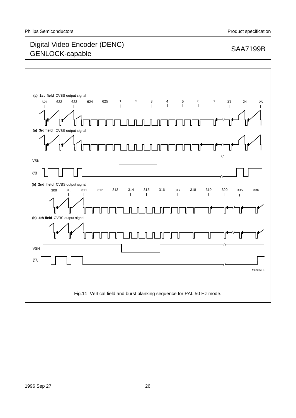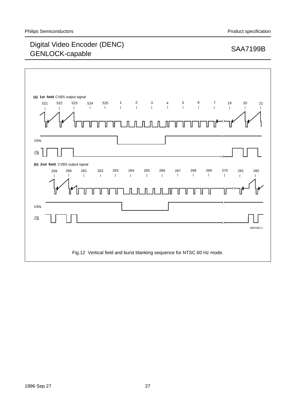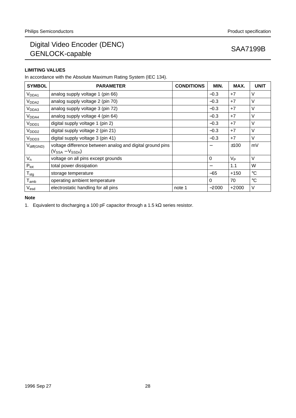## **LIMITING VALUES**

In accordance with the Absolute Maximum Rating System (IEC 134).

| <b>SYMBOL</b>               | <b>PARAMETER</b>                                                                    | <b>CONDITIONS</b> | MIN.     | MAX.           | <b>UNIT</b>     |
|-----------------------------|-------------------------------------------------------------------------------------|-------------------|----------|----------------|-----------------|
| V <sub>DDA1</sub>           | analog supply voltage 1 (pin 66)                                                    |                   | $-0.3$   | $+7$           | V               |
| V <sub>DDA2</sub>           | analog supply voltage 2 (pin 70)                                                    |                   | $-0.3$   | $+7$           | $\vee$          |
| V <sub>DDA3</sub>           | analog supply voltage 3 (pin 72)                                                    |                   | $-0.3$   | $+7$           | $\vee$          |
| V <sub>DDA4</sub>           | analog supply voltage 4 (pin 64)                                                    |                   | $-0.3$   | $+7$           | V               |
| V <sub>DDD1</sub>           | digital supply voltage 1 (pin 2)                                                    |                   | $-0.3$   | $+7$           | $\vee$          |
| V <sub>DDD2</sub>           | digital supply voltage 2 (pin 21)                                                   |                   | $-0.3$   | $+7$           | $\vee$          |
| V <sub>DDD3</sub>           | digital supply voltage 3 (pin 41)                                                   |                   | $-0.3$   | $+7$           | V               |
| $V_{diff(GND)}$             | voltage difference between analog and digital ground pins<br>$(V_{SSA} - V_{SSDn})$ |                   |          | ±100           | mV              |
| $V_{n}$                     | voltage on all pins except grounds                                                  |                   | $\Omega$ | V <sub>Р</sub> | $\vee$          |
| $P_{\text{tot}}$            | total power dissipation                                                             |                   |          | 1.1            | W               |
| ${\mathsf T}_{\text{stg}}$  | storage temperature                                                                 |                   | $-65$    | $+150$         | $^{\circ}C$     |
| $\mathsf{T}_{\mathsf{amb}}$ | operating ambient temperature                                                       |                   | $\Omega$ | 70             | $\rm ^{\circ}C$ |
| $V_{\sf esd}$               | electrostatic handling for all pins                                                 | note 1            | $-2000$  | $+2000$        | V               |

## **Note**

1. Equivalent to discharging a 100 pF capacitor through a 1.5 kΩ series resistor.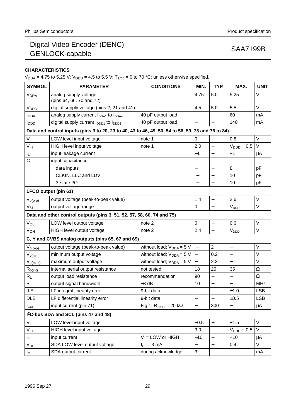## **CHARACTERISTICS**

 $V_{DDA} = 4.75$  to 5.25 V;  $V_{DDD} = 4.5$  to 5.5 V;  $T_{amb} = 0$  to 70 °C; unless otherwise specified.

| <b>SYMBOL</b>           | <b>PARAMETER</b>                                                                                  | <b>CONDITIONS</b>               | MIN.                      | TYP.                     | MAX.                     | <b>UNIT</b> |
|-------------------------|---------------------------------------------------------------------------------------------------|---------------------------------|---------------------------|--------------------------|--------------------------|-------------|
| <b>V<sub>DDA</sub></b>  | analog supply voltage<br>(pins 64, 66, 70 and 72)                                                 |                                 | 4.75                      | 5.0                      | 5.25                     | V           |
| V <sub>DDD</sub>        | digital supply voltage (pins 2, 21 and 41)                                                        |                                 | 4.5                       | 5.0                      | 5.5                      | V           |
| <b>I</b> <sub>DDA</sub> | analog supply current I <sub>DDA1</sub> to I <sub>DDA4</sub>                                      | 40 pF output load               |                           | $\overline{\phantom{0}}$ | 60                       | mA          |
| <b>I</b> <sub>DDD</sub> | digital supply current I <sub>DDD1</sub> to I <sub>DDD3</sub>                                     | 40 pF output load               |                           |                          | 140                      | mA          |
|                         | Data and control inputs (pins 3 to 20, 23 to 40, 43 to 46, 49, 50, 54 to 56, 59, 73 and 76 to 84) |                                 |                           |                          |                          |             |
| $V_{IL}$                | LOW level input voltage                                                                           | note 1                          | 0                         |                          | 0.8                      | V           |
| $V_{\text{IH}}$         | HIGH level input voltage                                                                          | note 1                          | 2.0                       | $\qquad \qquad -$        | $VDDD + 0.5$             | V           |
| Iц                      | input leakage current                                                                             |                                 | $-1$                      | $\qquad \qquad -$        | $+1$                     | μA          |
| $C_i$                   | input capacitance                                                                                 |                                 |                           |                          |                          |             |
|                         | data inputs                                                                                       |                                 |                           |                          | 8                        | рF          |
|                         | CLKIN, LLC and LDV                                                                                |                                 |                           |                          | 10                       | pF          |
|                         | 3-state I/O                                                                                       |                                 |                           |                          | 10                       | pF          |
|                         | LFCO output (pin 61)                                                                              |                                 |                           |                          |                          |             |
| $V_{o(p-p)}$            | output voltage (peak-to-peak value)                                                               |                                 | 1.4                       | $\qquad \qquad -$        | 2.6                      | V           |
| $V_{61}$                | output voltage range                                                                              |                                 | $\pmb{0}$                 |                          | V <sub>DDD</sub>         | V           |
|                         | Data and other control outputs (pins 3, 51, 52, 57, 58, 60, 74 and 75)                            |                                 |                           |                          |                          |             |
| $V_{OL}$                | LOW level output voltage                                                                          | note 2                          | $\mathbf 0$               | $\qquad \qquad -$        | 0.6                      | V           |
| $V_{OH}$                | HIGH level output voltage                                                                         | note 2                          | 2.4                       | $\overline{\phantom{0}}$ | V <sub>DDD</sub>         | $\vee$      |
|                         | C, Y and CVBS analog outputs (pins 65, 67 and 69)                                                 |                                 |                           |                          |                          |             |
| $V_{o(p-p)}$            | output voltage (peak-to-peak value)                                                               | without load; $V_{DDA} = 5 V$   | $\overline{\phantom{0}}$  | $\overline{2}$           | $\overline{\phantom{0}}$ | $\vee$      |
| $V_{o(min)}$            | minimum output voltage                                                                            | without load; $V_{DDA} = 5 V$   | $\qquad \qquad -$         | 0.2                      | $\overline{\phantom{0}}$ | V           |
| $V_{o(max)}$            | maximum output voltage                                                                            | without load; $V_{DDA} = 5 V$   | $\equiv$                  | 2.2                      |                          | V           |
| $R_{o(int)}$            | internal serial output resistance                                                                 | not tested                      | 18                        | 25                       | 35                       | Ω           |
| $R_{L}$                 | output load resistance                                                                            | recommendation                  | 90                        | $\overline{\phantom{0}}$ | $\overline{\phantom{0}}$ | $\Omega$    |
| B                       | output signal bandwidth                                                                           | $-3$ dB                         | 10                        | $\qquad \qquad -$        |                          | <b>MHz</b>  |
| ILE                     | LF integral linearity error                                                                       | 9-bit data                      | $\qquad \qquad -$         | $\qquad \qquad -$        | ±1.0                     | <b>LSB</b>  |
| <b>DLE</b>              | LF differential linearity error                                                                   | 9-bit data                      | $\overline{\phantom{0}}$  | $\overline{\phantom{0}}$ | ±0.5                     | <b>LSB</b>  |
| $I_{\text{CUR}}$        | input current (pin 71)                                                                            | Fig.1; $R_{70-71} = 20 k\Omega$ | $\qquad \qquad -$         | 300                      | $\overline{\phantom{0}}$ | μA          |
|                         | I <sup>2</sup> C-bus SDA and SCL (pins 47 and 48)                                                 |                                 |                           |                          |                          |             |
| $V_{IL}$                | LOW level input voltage                                                                           |                                 | $-0.5$                    | $\qquad \qquad -$        | $+1.5$                   | V           |
| V <sub>IH</sub>         | HIGH level input voltage                                                                          |                                 | 3.0                       | $\qquad \qquad -$        | $VDDD + 0.5$             | V           |
| Iŗ.                     | input current                                                                                     | $V_1 =$ LOW or HIGH             | $-10$                     |                          | $+10$                    | μA          |
| $V_{OL}$                | SDA LOW level output voltage                                                                      | $I_{OL} = 3 mA$                 | $\overline{\phantom{0}}$  | $\qquad \qquad -$        | 0.4                      | V           |
| $I_{\rm O}$             | SDA output current                                                                                | during acknowledge              | $\ensuremath{\mathsf{3}}$ |                          |                          | mA          |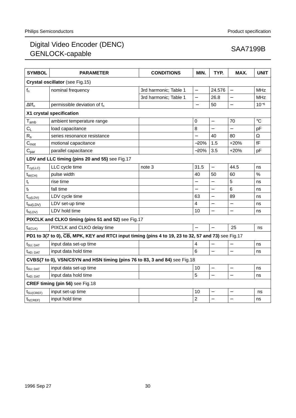| <b>SYMBOL</b>               | <b>PARAMETER</b>                                                                                    | <b>CONDITIONS</b>     | MIN.                     | TYP.                     | MAX.                     | <b>UNIT</b>     |
|-----------------------------|-----------------------------------------------------------------------------------------------------|-----------------------|--------------------------|--------------------------|--------------------------|-----------------|
|                             | Crystal oscillator (see Fig.15)                                                                     |                       |                          |                          |                          |                 |
| $f_n$                       | nominal frequency                                                                                   | 3rd harmonic; Table 1 | $\equiv$                 | 24.576                   |                          | <b>MHz</b>      |
|                             |                                                                                                     | 3rd harmonic; Table 1 | $\qquad \qquad -$        | 26.8                     |                          | <b>MHz</b>      |
| $\Delta f/f_n$              | permissible deviation of $f_n$                                                                      |                       | $\overline{\phantom{m}}$ | 50                       | $\overline{\phantom{0}}$ | $10^{-6}$       |
|                             | X1 crystal specification                                                                            |                       |                          |                          |                          |                 |
| $\mathsf{T}_{\mathsf{amb}}$ | ambient temperature range                                                                           |                       | $\mathbf 0$              | $\overline{\phantom{0}}$ | 70                       | $\rm ^{\circ}C$ |
| $C_{\mathsf{L}}$            | load capacitance                                                                                    |                       | 8                        |                          |                          | pF              |
| $R_{\rm s}$                 | series resonance resistance                                                                         |                       |                          | 40                       | 80                       | $\Omega$        |
| $C_{\text{mot}}$            | motional capacitance                                                                                |                       | $-20%$                   | 1.5                      | $+20%$                   | fF              |
| $C_{par}$                   | parallel capacitance                                                                                |                       | $-20%$                   | 3.5                      | $+20%$                   | pF              |
|                             | LDV and LLC timing (pins 20 and 55) see Fig.17                                                      |                       |                          |                          |                          |                 |
| $T_{cy(\text{LLC})}$        | LLC cycle time                                                                                      | note 3                | 31.5                     | $\equiv$                 | 44.5                     | ns              |
| $t_{W(CH)}$                 | pulse width                                                                                         |                       | 40                       | 50                       | 60                       | $\frac{0}{0}$   |
| t,                          | rise time                                                                                           |                       |                          |                          | 5                        | ns              |
| $t_f$                       | fall time                                                                                           |                       |                          |                          | 6                        | ns              |
| $t_{cy(LDV)}$               | LDV cycle time                                                                                      |                       | 63                       | $\overline{\phantom{0}}$ | 89                       | ns              |
| $t_{\text{su(LDV)}}$        | LDV set-up time                                                                                     |                       | 4                        | $\overline{\phantom{0}}$ |                          | ns              |
| $t_{h(LDV)}$                | LDV hold time                                                                                       |                       | 10                       |                          |                          | ns              |
|                             | PIXCLK and CLKO timing (pins 51 and 52) see Fig.17                                                  |                       |                          |                          |                          |                 |
| $t_{d(CLK)}$                | PIXCLK and CLKO delay time                                                                          |                       |                          |                          | 25                       | ns              |
|                             | PD1 to 3(7 to 0), CB, MPK, KEY and RTCI input timing (pins 4 to 19, 23 to 32, 57 and 73) see Fig.17 |                       |                          |                          |                          |                 |
| $t_{\text{SU; DAT}}$        | input data set-up time                                                                              |                       | 4                        |                          |                          | ns              |
| t <sub>HD: DAT</sub>        | input data hold time                                                                                |                       | 6                        | $\overline{a}$           |                          | ns              |
|                             | CVBS(7 to 0), VSN/CSYN and HSN timing (pins 76 to 83, 3 and 84) see Fig.18                          |                       |                          |                          |                          |                 |
| $t_{\text{SU; DAT}}$        | input data set-up time                                                                              |                       | 10                       | $\overline{\phantom{0}}$ |                          | ns              |
| t <sub>HD: DAT</sub>        | input data hold time                                                                                |                       | 5                        | $\equiv$                 | $\overline{a}$           | ns              |
|                             | CREF timing (pin 56) see Fig.18                                                                     |                       |                          |                          |                          |                 |
| t <sub>SU(CREF)</sub>       | input set-up time                                                                                   |                       | 10                       |                          |                          | ns              |
| $t_{h(CREF)}$               | input hold time                                                                                     |                       | $\overline{c}$           | $\overline{\phantom{0}}$ |                          | ns              |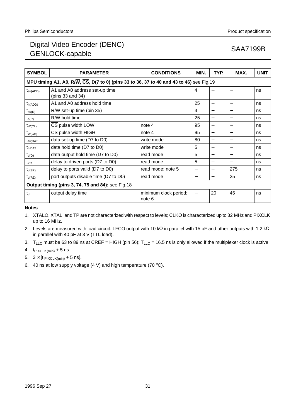| <b>SYMBOL</b>                                          | <b>PARAMETER</b>                                                                        | <b>CONDITIONS</b>               | MIN.              | TYP.                     | MAX.                              | <b>UNIT</b> |  |  |
|--------------------------------------------------------|-----------------------------------------------------------------------------------------|---------------------------------|-------------------|--------------------------|-----------------------------------|-------------|--|--|
|                                                        | MPU timing A1, A0, R/W, CS, D(7 to 0) (pins 33 to 36, 37 to 40 and 43 to 46) see Fig.19 |                                 |                   |                          |                                   |             |  |  |
| $t_{\text{su(ADD)}}$                                   | A1 and A0 address set-up time<br>(pins $33$ and $34$ )                                  |                                 | 4                 |                          | —                                 | ns          |  |  |
| $t_{h(ADD)}$                                           | A1 and A0 address hold time                                                             |                                 | 25                | $\overline{\phantom{0}}$ |                                   | ns          |  |  |
| $t_{\text{su(R)}}$                                     | R/W set-up time (pin 35)                                                                |                                 | 4                 |                          | $\overbrace{\phantom{123221111}}$ | ns          |  |  |
| $t_{h(R)}$                                             | R/W hold time                                                                           |                                 | 25                |                          |                                   | ns          |  |  |
| $t_{W (CL)}$                                           | CS pulse width LOW                                                                      | note 4                          | 95                |                          |                                   | ns          |  |  |
| $t_{W(CH)}$                                            | CS pulse width HIGH                                                                     | note 4                          | 95                |                          |                                   | ns          |  |  |
| $\boldsymbol{\mathsf{t}}_{\mathsf{su} ; \mathsf{DAT}}$ | data set-up time (D7 to D0)                                                             | write mode                      | 80                |                          |                                   | ns          |  |  |
| $t_{h;DAT}$                                            | data hold time (D7 to D0)                                                               | write mode                      | 5                 |                          | $\overbrace{\phantom{12321111}}$  | ns          |  |  |
| $t_{d(Q)}$                                             | data output hold time (D7 to D0)                                                        | read mode                       | 5                 |                          |                                   | ns          |  |  |
| $\mathsf{t}_{\mathsf{ZR}}$                             | delay to driven ports (D7 to D0)                                                        | read mode                       | 5                 | —                        | —                                 | ns          |  |  |
| $t_{d(ZR)}$                                            | delay to ports valid (D7 to D0)                                                         | read mode; note 5               | —                 | —                        | 275                               | ns          |  |  |
| $t_{d(RZ)}$                                            | port outputs disable time (D7 to D0)                                                    | read mode                       |                   |                          | 25                                | ns          |  |  |
|                                                        | Output timing (pins 3, 74, 75 and 84); see Fig.18                                       |                                 |                   |                          |                                   |             |  |  |
| $t_{\rm d}$                                            | output delay time                                                                       | minimum clock period;<br>note 6 | $\qquad \qquad -$ | 20                       | 45                                | ns          |  |  |

### **Notes**

- 1. XTALO, XTALI and TP are not characterized with respect to levels; CLKO is characterized up to 32 MHz and PIXCLK up to 16 MHz.
- 2. Levels are measured with load circuit. LFCO output with 10 kΩ in parallel with 15 pF and other outputs with 1.2 kΩ in parallel with 40 pF at 3 V (TTL load).
- 3. T<sub>LLC</sub> must be 63 to 89 ns at CREF = HIGH (pin 56);  $T_{LLC}$  = 16.5 ns is only allowed if the multiplexer clock is active.
- 4.  $t_{\text{PIXCLK(min)}} + 5$  ns.
- 5.  $3 \times$  [t PIXCLK(min) + 5 ns].
- 6. 40 ns at low supply voltage  $(4 V)$  and high temperature  $(70 °C)$ .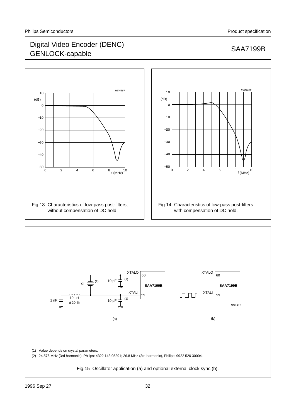



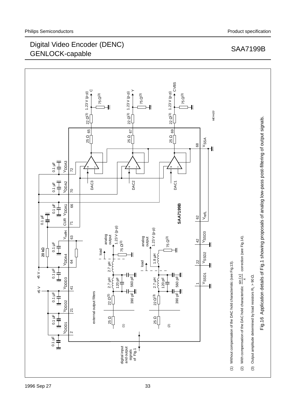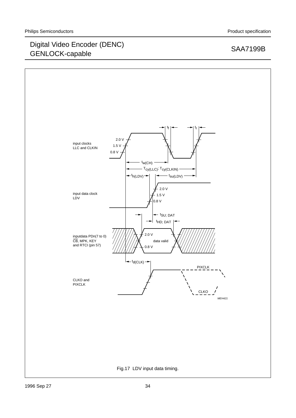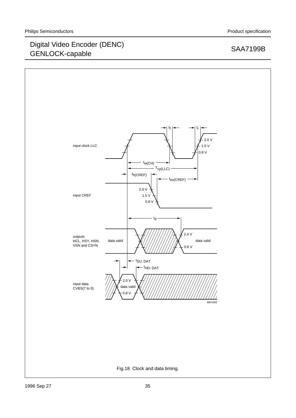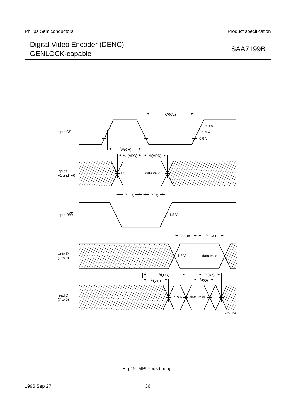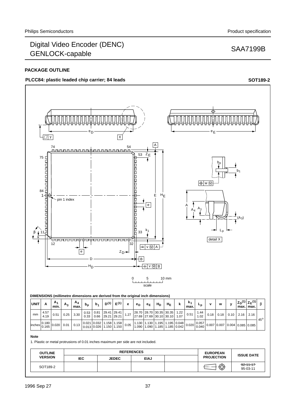## **PACKAGE OUTLINE**

# PLCC84: plastic leaded chip carrier; 84 leads **SOT189-2 SOT189-2**



### **Note**

1. Plastic or metal protrusions of 0.01 inches maximum per side are not included.

| <b>OUTLINE</b> | <b>REFERENCES</b> |              |             | <b>EUROPEAN</b> |                   |                             |
|----------------|-------------------|--------------|-------------|-----------------|-------------------|-----------------------------|
| <b>VERSION</b> | IEC               | <b>JEDEC</b> | <b>EIAJ</b> |                 | <b>PROJECTION</b> | <b>ISSUE DATE</b>           |
| SOT189-2       |                   |              |             |                 | ⊕                 | $-92 - 11 - 17$<br>95-03-11 |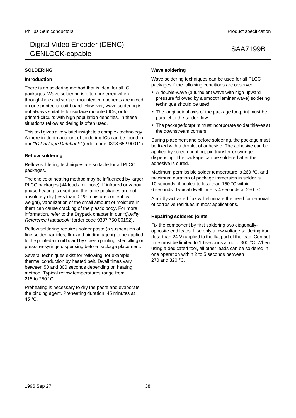# **SOLDERING**

## **Introduction**

There is no soldering method that is ideal for all IC packages. Wave soldering is often preferred when through-hole and surface mounted components are mixed on one printed-circuit board. However, wave soldering is not always suitable for surface mounted ICs, or for printed-circuits with high population densities. In these situations reflow soldering is often used.

This text gives a very brief insight to a complex technology. A more in-depth account of soldering ICs can be found in our "IC Package Databook" (order code 9398 652 90011).

## **Reflow soldering**

Reflow soldering techniques are suitable for all PLCC packages.

The choice of heating method may be influenced by larger PLCC packages (44 leads, or more). If infrared or vapour phase heating is used and the large packages are not absolutely dry (less than 0.1% moisture content by weight), vaporization of the small amount of moisture in them can cause cracking of the plastic body. For more information, refer to the Drypack chapter in our "Quality Reference Handbook" (order code 9397 750 00192).

Reflow soldering requires solder paste (a suspension of fine solder particles, flux and binding agent) to be applied to the printed-circuit board by screen printing, stencilling or pressure-syringe dispensing before package placement.

Several techniques exist for reflowing; for example, thermal conduction by heated belt. Dwell times vary between 50 and 300 seconds depending on heating method. Typical reflow temperatures range from 215 to 250 °C.

Preheating is necessary to dry the paste and evaporate the binding agent. Preheating duration: 45 minutes at 45 °C.

## **Wave soldering**

Wave soldering techniques can be used for all PLCC packages if the following conditions are observed:

- A double-wave (a turbulent wave with high upward pressure followed by a smooth laminar wave) soldering technique should be used.
- The longitudinal axis of the package footprint must be parallel to the solder flow.
- The package footprint must incorporate solder thieves at the downstream corners.

During placement and before soldering, the package must be fixed with a droplet of adhesive. The adhesive can be applied by screen printing, pin transfer or syringe dispensing. The package can be soldered after the adhesive is cured.

Maximum permissible solder temperature is 260 °C, and maximum duration of package immersion in solder is 10 seconds, if cooled to less than 150 °C within 6 seconds. Typical dwell time is 4 seconds at 250 °C.

A mildly-activated flux will eliminate the need for removal of corrosive residues in most applications.

## **Repairing soldered joints**

Fix the component by first soldering two diagonallyopposite end leads. Use only a low voltage soldering iron (less than 24 V) applied to the flat part of the lead. Contact time must be limited to 10 seconds at up to 300 °C. When using a dedicated tool, all other leads can be soldered in one operation within 2 to 5 seconds between 270 and 320 °C.